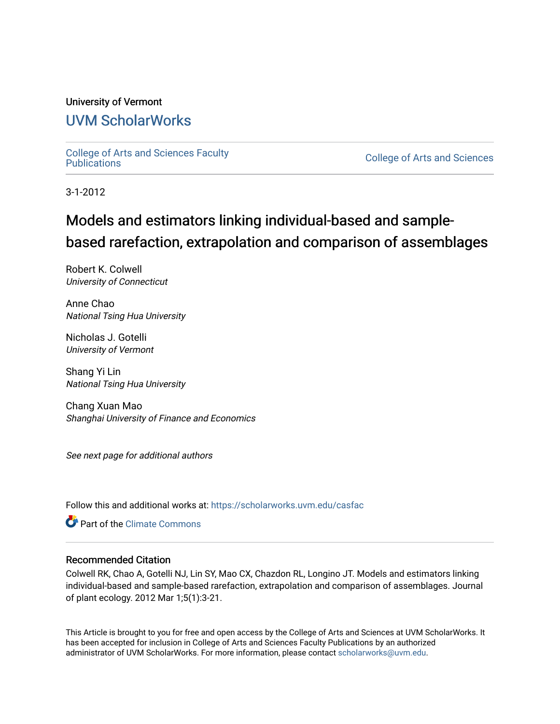## University of Vermont [UVM ScholarWorks](https://scholarworks.uvm.edu/)

[College of Arts and Sciences Faculty](https://scholarworks.uvm.edu/casfac)

**College of Arts and Sciences** 

3-1-2012

## Models and estimators linking individual-based and samplebased rarefaction, extrapolation and comparison of assemblages

Robert K. Colwell University of Connecticut

Anne Chao National Tsing Hua University

Nicholas J. Gotelli University of Vermont

Shang Yi Lin National Tsing Hua University

Chang Xuan Mao Shanghai University of Finance and Economics

See next page for additional authors

Follow this and additional works at: [https://scholarworks.uvm.edu/casfac](https://scholarworks.uvm.edu/casfac?utm_source=scholarworks.uvm.edu%2Fcasfac%2F94&utm_medium=PDF&utm_campaign=PDFCoverPages) 

**Part of the Climate Commons** 

## Recommended Citation

Colwell RK, Chao A, Gotelli NJ, Lin SY, Mao CX, Chazdon RL, Longino JT. Models and estimators linking individual-based and sample-based rarefaction, extrapolation and comparison of assemblages. Journal of plant ecology. 2012 Mar 1;5(1):3-21.

This Article is brought to you for free and open access by the College of Arts and Sciences at UVM ScholarWorks. It has been accepted for inclusion in College of Arts and Sciences Faculty Publications by an authorized administrator of UVM ScholarWorks. For more information, please contact [scholarworks@uvm.edu](mailto:scholarworks@uvm.edu).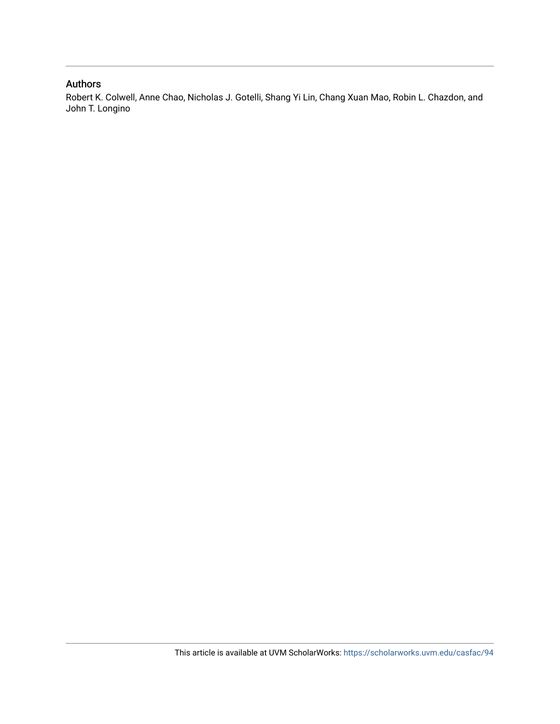## Authors

Robert K. Colwell, Anne Chao, Nicholas J. Gotelli, Shang Yi Lin, Chang Xuan Mao, Robin L. Chazdon, and John T. Longino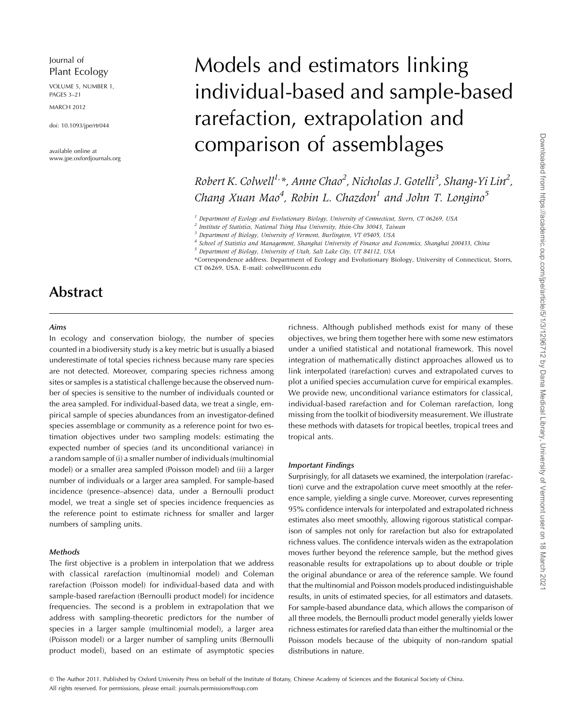#### Journal of Plant Ecology

VOLUME 5, NUMBER 1, PAGES 3–21

MARCH 2012

doi: 10.1093/jpe/rtr044

available online at www.jpe.oxfordjournals.org

# Models and estimators linking individual-based and sample-based rarefaction, extrapolation and comparison of assemblages

Robert K. Colwell $^{l_{\,\prime}\ast}$ , Anne Chao $^{2}$ , Nicholas J. Gotelli $^{3}$ , Shang-Yi Lin $^{2}$ , Chang Xuan Mao<sup>4</sup>, Robin L. Chazdon<sup>1</sup> and John T. Longino<sup>5</sup>

<sup>2</sup> Institute of Statistics, National Tsing Hua University, Hsin-Chu 30043, Taiwan

<sup>3</sup> Department of Biology, University of Vermont, Burlington, VT 05405, USA

<sup>5</sup> Department of Biology, University of Utah, Salt Lake City, UT 84112, USA

- \*Correspondence address. Department of Ecology and Evolutionary Biology, University of Connecticut, Storrs,
- CT 06269, USA. E-mail: colwell@uconn.edu

## Abstract

#### Aims

In ecology and conservation biology, the number of species counted in a biodiversity study is a key metric but is usually a biased underestimate of total species richness because many rare species are not detected. Moreover, comparing species richness among sites or samples is a statistical challenge because the observed number of species is sensitive to the number of individuals counted or the area sampled. For individual-based data, we treat a single, empirical sample of species abundances from an investigator-defined species assemblage or community as a reference point for two estimation objectives under two sampling models: estimating the expected number of species (and its unconditional variance) in a random sample of (i) a smaller number of individuals (multinomial model) or a smaller area sampled (Poisson model) and (ii) a larger number of individuals or a larger area sampled. For sample-based incidence (presence–absence) data, under a Bernoulli product model, we treat a single set of species incidence frequencies as the reference point to estimate richness for smaller and larger numbers of sampling units.

#### Methods

The first objective is a problem in interpolation that we address with classical rarefaction (multinomial model) and Coleman rarefaction (Poisson model) for individual-based data and with sample-based rarefaction (Bernoulli product model) for incidence frequencies. The second is a problem in extrapolation that we address with sampling-theoretic predictors for the number of species in a larger sample (multinomial model), a larger area (Poisson model) or a larger number of sampling units (Bernoulli product model), based on an estimate of asymptotic species richness. Although published methods exist for many of these objectives, we bring them together here with some new estimators under a unified statistical and notational framework. This novel integration of mathematically distinct approaches allowed us to link interpolated (rarefaction) curves and extrapolated curves to plot a unified species accumulation curve for empirical examples. We provide new, unconditional variance estimators for classical, individual-based rarefaction and for Coleman rarefaction, long missing from the toolkit of biodiversity measurement. We illustrate these methods with datasets for tropical beetles, tropical trees and tropical ants.

#### Important Findings

Surprisingly, for all datasets we examined, the interpolation (rarefaction) curve and the extrapolation curve meet smoothly at the reference sample, yielding a single curve. Moreover, curves representing 95% confidence intervals for interpolated and extrapolated richness estimates also meet smoothly, allowing rigorous statistical comparison of samples not only for rarefaction but also for extrapolated richness values. The confidence intervals widen as the extrapolation moves further beyond the reference sample, but the method gives reasonable results for extrapolations up to about double or triple the original abundance or area of the reference sample. We found that the multinomial and Poisson models produced indistinguishable results, in units of estimated species, for all estimators and datasets. For sample-based abundance data, which allows the comparison of all three models, the Bernoulli product model generally yields lower richness estimates for rarefied data than either the multinomial or the Poisson models because of the ubiquity of non-random spatial distributions in nature.

 $<sup>1</sup>$  Department of Ecology and Evolutionary Biology, University of Connecticut, Storrs, CT 06269, USA</sup>

<sup>&</sup>lt;sup>4</sup> School of Statistics and Management, Shanghai University of Finance and Economics, Shanghai 200433, China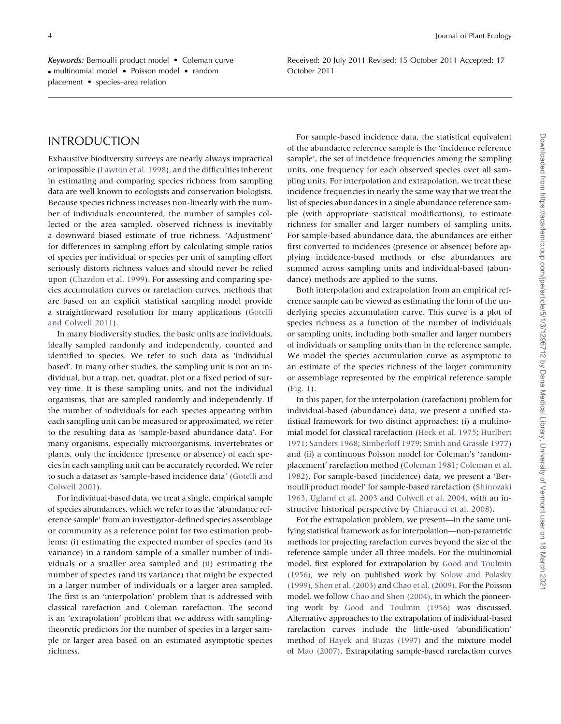Keywords: Bernoulli product model • Coleman curve • multinomial model • Poisson model • random placement • species–area relation

## INTRODUCTION

Exhaustive biodiversity surveys are nearly always impractical or impossible [\(Lawton et al. 1998](#page-19-0)), and the difficulties inherent in estimating and comparing species richness from sampling data are well known to ecologists and conservation biologists. Because species richness increases non-linearly with the number of individuals encountered, the number of samples collected or the area sampled, observed richness is inevitably a downward biased estimate of true richness. 'Adjustment' for differences in sampling effort by calculating simple ratios of species per individual or species per unit of sampling effort seriously distorts richness values and should never be relied upon [\(Chazdon et al. 1999\)](#page-19-0). For assessing and comparing species accumulation curves or rarefaction curves, methods that are based on an explicit statistical sampling model provide a straightforward resolution for many applications [\(Gotelli](#page-19-0) [and Colwell 2011](#page-19-0)).

In many biodiversity studies, the basic units are individuals, ideally sampled randomly and independently, counted and identified to species. We refer to such data as 'individual based'. In many other studies, the sampling unit is not an individual, but a trap, net, quadrat, plot or a fixed period of survey time. It is these sampling units, and not the individual organisms, that are sampled randomly and independently. If the number of individuals for each species appearing within each sampling unit can be measured or approximated, we refer to the resulting data as 'sample-based abundance data'. For many organisms, especially microorganisms, invertebrates or plants, only the incidence (presence or absence) of each species in each sampling unit can be accurately recorded. We refer to such a dataset as 'sample-based incidence data' ([Gotelli and](#page-19-0) [Colwell 2001](#page-19-0)).

For individual-based data, we treat a single, empirical sample of species abundances, which we refer to as the 'abundance reference sample' from an investigator-defined species assemblage or community as a reference point for two estimation problems: (i) estimating the expected number of species (and its variance) in a random sample of a smaller number of individuals or a smaller area sampled and (ii) estimating the number of species (and its variance) that might be expected in a larger number of individuals or a larger area sampled. The first is an 'interpolation' problem that is addressed with classical rarefaction and Coleman rarefaction. The second is an 'extrapolation' problem that we address with samplingtheoretic predictors for the number of species in a larger sample or larger area based on an estimated asymptotic species richness.

Received: 20 July 2011 Revised: 15 October 2011 Accepted: 17 October 2011

For sample-based incidence data, the statistical equivalent of the abundance reference sample is the 'incidence reference sample', the set of incidence frequencies among the sampling units, one frequency for each observed species over all sampling units. For interpolation and extrapolation, we treat these incidence frequencies in nearly the same way that we treat the list of species abundances in a single abundance reference sample (with appropriate statistical modifications), to estimate richness for smaller and larger numbers of sampling units. For sample-based abundance data, the abundances are either first converted to incidences (presence or absence) before applying incidence-based methods or else abundances are summed across sampling units and individual-based (abundance) methods are applied to the sums.

Both interpolation and extrapolation from an empirical reference sample can be viewed as estimating the form of the underlying species accumulation curve. This curve is a plot of species richness as a function of the number of individuals or sampling units, including both smaller and larger numbers of individuals or sampling units than in the reference sample. We model the species accumulation curve as asymptotic to an estimate of the species richness of the larger community or assemblage represented by the empirical reference sample ([Fig. 1](#page-4-0)).

In this paper, for the interpolation (rarefaction) problem for individual-based (abundance) data, we present a unified statistical framework for two distinct approaches: (i) a multinomial model for classical rarefaction [\(Heck et al. 1975;](#page-19-0) [Hurlbert](#page-19-0) [1971](#page-19-0); [Sanders 1968;](#page-20-0) [Simberloff 1979;](#page-20-0) [Smith and Grassle 1977](#page-20-0)) and (ii) a continuous Poisson model for Coleman's 'randomplacement' rarefaction method [\(Coleman 1981;](#page-19-0) [Coleman et al.](#page-19-0) [1982](#page-19-0)). For sample-based (incidence) data, we present a 'Bernoulli product model' for sample-based rarefaction [\(Shinozaki](#page-20-0) [1963](#page-20-0), [Ugland et al. 2003](#page-20-0) and [Colwell et al. 2004,](#page-19-0) with an instructive historical perspective by [Chiarucci et al. 2008](#page-19-0)).

For the extrapolation problem, we present—in the same unifying statistical framework as for interpolation—non-parametric methods for projecting rarefaction curves beyond the size of the reference sample under all three models. For the multinomial model, first explored for extrapolation by [Good and Toulmin](#page-19-0) [\(1956\)](#page-19-0), we rely on published work by [Solow and Polasky](#page-20-0) [\(1999\)](#page-20-0), [Shen et al. \(2003\)](#page-20-0) and [Chao et al. \(2009\)](#page-19-0). For the Poisson model, we follow [Chao and Shen \(2004\),](#page-19-0) in which the pioneering work by [Good and Toulmin \(1956\)](#page-19-0) was discussed. Alternative approaches to the extrapolation of individual-based rarefaction curves include the little-used 'abundification' method of [Hayek and Buzas \(1997\)](#page-19-0) and the mixture model of [Mao \(2007\)](#page-20-0). Extrapolating sample-based rarefaction curves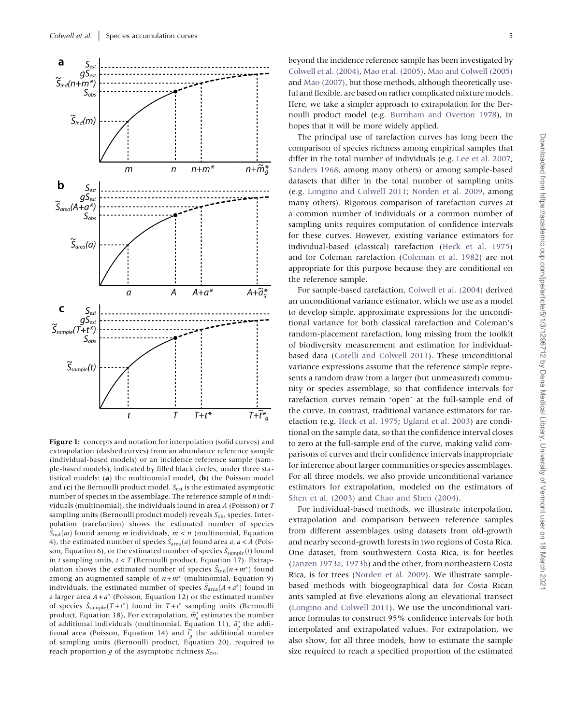<span id="page-4-0"></span>

Figure 1: concepts and notation for interpolation (solid curves) and extrapolation (dashed curves) from an abundance reference sample (individual-based models) or an incidence reference sample (sample-based models), indicated by filled black circles, under three statistical models: (a) the multinomial model,  $(b)$  the Poisson model and  $(c)$  the Bernoulli product model.  $S_{est}$  is the estimated asymptotic number of species in the assemblage. The reference sample of  $n$  individuals (multinomial), the individuals found in area A (Poisson) or T sampling units (Bernoulli product model) reveals  $S_{\text{obs}}$  species. Interpolation (rarefaction) shows the estimated number of species  $\tilde{S}_{ind}(m)$  found among *m* individuals,  $m < n$  (multinomial, Equation 4), the estimated number of species  $\tilde{S}_{area}(a)$  found area a,  $a < A$  (Poisson, Equation 6), or the estimated number of species  $\tilde{S}_{\text{sample}}(t)$  found in t sampling units,  $t < T$  (Bernoulli product, Equation 17). Extrapolation shows the estimated number of species  $\tilde{S}_{ind}(n + m^*)$  found among an augmented sample of  $n + m^*$  (multinomial, Equation 9) individuals, the estimated number of species  $\tilde{S}_{area}(A + a^*)$  found in a larger area  $A + a^*$  (Poisson, Equation 12) or the estimated number of species  $\tilde{S}_{sample}(T + t^*)$  found in  $T + t^*$  sampling units (Bernoulli product, Equation 18), For extrapolation,  $\tilde{m}^*_g$  estimates the number of additional individuals (multinomial, Equation 11),  $\tilde{a}^*_{g}$  the additional area (Poisson, Equation 14) and  $\tilde{t}_g^*$  the additional number of sampling units (Bernoulli product, Equation 20), required to reach proportion  $q$  of the asymptotic richness  $S_{est}$ .

beyond the incidence reference sample has been investigated by [Colwell et al. \(2004\)](#page-19-0), [Mao et al. \(2005\)](#page-19-0), [Mao and Colwell \(2005\)](#page-19-0) and [Mao \(2007\),](#page-20-0) but those methods, although theoretically useful and flexible, are based on rather complicated mixture models. Here, we take a simpler approach to extrapolation for the Bernoulli product model (e.g. [Burnham and Overton 1978\)](#page-19-0), in hopes that it will be more widely applied.

The principal use of rarefaction curves has long been the comparison of species richness among empirical samples that differ in the total number of individuals (e.g. [Lee et al. 2007](#page-19-0); [Sanders 1968](#page-20-0), among many others) or among sample-based datasets that differ in the total number of sampling units (e.g. [Longino and Colwell 2011;](#page-19-0) [Norden et al. 2009,](#page-20-0) among many others). Rigorous comparison of rarefaction curves at a common number of individuals or a common number of sampling units requires computation of confidence intervals for these curves. However, existing variance estimators for individual-based (classical) rarefaction ([Heck et al. 1975](#page-19-0)) and for Coleman rarefaction ([Coleman et al. 1982\)](#page-19-0) are not appropriate for this purpose because they are conditional on the reference sample.

For sample-based rarefaction, [Colwell et al. \(2004\)](#page-19-0) derived an unconditional variance estimator, which we use as a model to develop simple, approximate expressions for the unconditional variance for both classical rarefaction and Coleman's random-placement rarefaction, long missing from the toolkit of biodiversity measurement and estimation for individualbased data ([Gotelli and Colwell 2011\)](#page-19-0). These unconditional variance expressions assume that the reference sample represents a random draw from a larger (but unmeasured) community or species assemblage, so that confidence intervals for rarefaction curves remain 'open' at the full-sample end of the curve. In contrast, traditional variance estimators for rarefaction (e.g. [Heck et al. 1975](#page-19-0); [Ugland et al. 2003](#page-20-0)) are conditional on the sample data, so that the confidence interval closes to zero at the full-sample end of the curve, making valid comparisons of curves and their confidence intervals inappropriate for inference about larger communities or species assemblages. For all three models, we also provide unconditional variance estimators for extrapolation, modeled on the estimators of [Shen et al. \(2003\)](#page-20-0) and [Chao and Shen \(2004\).](#page-19-0)

For individual-based methods, we illustrate interpolation, extrapolation and comparison between reference samples from different assemblages using datasets from old-growth and nearby second-growth forests in two regions of Costa Rica. One dataset, from southwestern Costa Rica, is for beetles [\(Janzen 1973a](#page-19-0), [1973b](#page-19-0)) and the other, from northeastern Costa Rica, is for trees [\(Norden et al. 2009](#page-20-0)). We illustrate samplebased methods with biogeographical data for Costa Rican ants sampled at five elevations along an elevational transect [\(Longino and Colwell 2011\)](#page-19-0). We use the unconditional variance formulas to construct 95% confidence intervals for both interpolated and extrapolated values. For extrapolation, we also show, for all three models, how to estimate the sample size required to reach a specified proportion of the estimated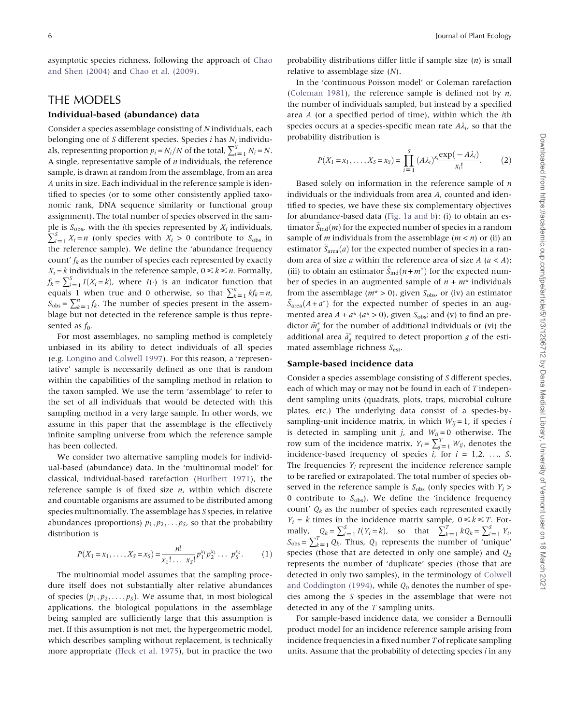asymptotic species richness, following the approach of [Chao](#page-19-0) [and Shen \(2004\)](#page-19-0) and [Chao et al. \(2009\).](#page-19-0)

## THE MODELS

#### Individual-based (abundance) data

Consider a species assemblage consisting of N individuals, each belonging one of S different species. Species i has  $N_i$  individuals, representing proportion  $p_i = N_i/N$  of the total,  $\sum_{i=1}^{S} N_i = N$ . A single, representative sample of  $n$  individuals, the reference sample, is drawn at random from the assemblage, from an area A units in size. Each individual in the reference sample is identified to species (or to some other consistently applied taxonomic rank, DNA sequence similarity or functional group assignment). The total number of species observed in the sample is  $S_{\text{obs}}$ , with the *i*th species represented by  $X_i$  individuals,  $\sum_{i=1}^{S} X_i = n$  (only species with  $X_i > 0$  contribute to  $S_{obs}$  in the reference sample). We define the 'abundance frequency count'  $f_k$  as the number of species each represented by exactly  $X_i = k$  individuals in the reference sample,  $0 \le k \le n$ . Formally,  $f_k = \sum_{i=1}^{S} I(X_i = k)$ , where  $I(\cdot)$  is an indicator function that equals 1 when true and 0 otherwise, so that  $\sum_{k=1}^{n} kf_k = n$ ,  $S_{\text{obs}} = \sum_{k=1}^{n} f_k$ . The number of species present in the assemblage but not detected in the reference sample is thus represented as  $f_0$ .

For most assemblages, no sampling method is completely unbiased in its ability to detect individuals of all species (e.g. [Longino and Colwell 1997\)](#page-19-0). For this reason, a 'representative' sample is necessarily defined as one that is random within the capabilities of the sampling method in relation to the taxon sampled. We use the term 'assemblage' to refer to the set of all individuals that would be detected with this sampling method in a very large sample. In other words, we assume in this paper that the assemblage is the effectively infinite sampling universe from which the reference sample has been collected.

We consider two alternative sampling models for individual-based (abundance) data. In the 'multinomial model' for classical, individual-based rarefaction ([Hurlbert 1971](#page-19-0)), the reference sample is of fixed size  $n$ , within which discrete and countable organisms are assumed to be distributed among species multinomially. The assemblage has S species, in relative abundances (proportions)  $p_1, p_2, \ldots p_s$ , so that the probability distribution is

$$
P(X_1 = x_1, \dots, X_S = x_S) = \frac{n!}{x_1! \dots x_S!} p_1^{x_1} p_2^{x_2} \dots p_S^{x_S}.
$$
 (1)

The multinomial model assumes that the sampling procedure itself does not substantially alter relative abundances of species  $(p_1, p_2, \ldots, p_s)$ . We assume that, in most biological applications, the biological populations in the assemblage being sampled are sufficiently large that this assumption is met. If this assumption is not met, the hypergeometric model, which describes sampling without replacement, is technically more appropriate ([Heck et al. 1975](#page-19-0)), but in practice the two probability distributions differ little if sample size  $(n)$  is small relative to assemblage size (N).

In the 'continuous Poisson model' or Coleman rarefaction ([Coleman 1981](#page-19-0)), the reference sample is defined not by  $n$ , the number of individuals sampled, but instead by a specified area A (or a specified period of time), within which the ith species occurs at a species-specific mean rate  $A\lambda_i$ , so that the probability distribution is

$$
P(X_1 = x_1, \dots, X_S = x_S) = \prod_{i=1}^S (A\lambda_i)^{x_i} \frac{\exp(-A\lambda_i)}{x_i!}.
$$
 (2)

Based solely on information in the reference sample of  $n$ individuals or the individuals from area A, counted and identified to species, we have these six complementary objectives for abundance-based data ([Fig. 1a and b\)](#page-4-0): (i) to obtain an estimator  $\tilde{S}_{ind}(m)$  for the expected number of species in a random sample of *m* individuals from the assemblage ( $m < n$ ) or (ii) an estimator  $\tilde{S}_{area}(a)$  for the expected number of species in a random area of size *a* within the reference area of size  $A$  ( $a < A$ ); (iii) to obtain an estimator  $\tilde{S}_{ind}(n + m^*)$  for the expected number of species in an augmented sample of  $n + m^*$  individuals from the assemblage ( $m^* > 0$ ), given  $S_{\text{obs}}$ , or (iv) an estimator  $\tilde{S}_{area}(A+a^*)$  for the expected number of species in an augmented area  $A + a^*$  ( $a^* > 0$ ), given  $S_{\text{obs}}$ ; and (v) to find an predictor  $\tilde{m}_g^*$  for the number of additional individuals or (vi) the additional area  $\tilde{a}^*_{g}$  required to detect proportion g of the estimated assemblage richness  $S_{est}$ .

#### Sample-based incidence data

Consider a species assemblage consisting of S different species, each of which may or may not be found in each of T independent sampling units (quadrats, plots, traps, microbial culture plates, etc.) The underlying data consist of a species-bysampling-unit incidence matrix, in which  $W_{ii} = 1$ , if species i is detected in sampling unit *j*, and  $W_{ij} = 0$  otherwise. The row sum of the incidence matrix,  $Y_i = \sum_{j=1}^{T} W_{ij}$ , denotes the incidence-based frequency of species  $i$ , for  $i = 1, 2, \ldots, S$ . The frequencies  $Y_i$  represent the incidence reference sample to be rarefied or extrapolated. The total number of species observed in the reference sample is  $S_{obs}$  (only species with  $Y_i$ ) 0 contribute to  $S_{\text{obs}}$ ). We define the 'incidence frequency count'  $Q_k$  as the number of species each represented exactly  $Y_i = k$  times in the incidence matrix sample,  $0 \le k \le T$ . Formally,  $Q_k = \sum_{i=1}^S I(Y_i = k)$ , so that  $\sum_{k=1}^T kQ_k = \sum_{i=1}^S Y_i$ ,  $S_{\text{obs}} = \sum_{k=1}^{T} Q_k$ . Thus,  $Q_1$  represents the number of 'unique' species (those that are detected in only one sample) and  $Q_2$ represents the number of 'duplicate' species (those that are detected in only two samples), in the terminology of [Colwell](#page-19-0) [and Coddington \(1994\),](#page-19-0) while  $Q_0$  denotes the number of species among the S species in the assemblage that were not detected in any of the T sampling units.

For sample-based incidence data, we consider a Bernoulli product model for an incidence reference sample arising from incidence frequencies in a fixed number T of replicate sampling units. Assume that the probability of detecting species  $i$  in any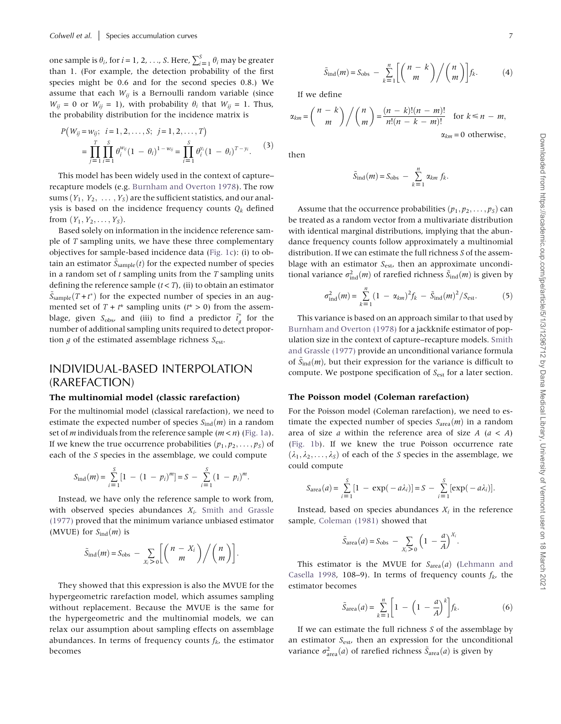one sample is  $\theta_i$ , for  $i = 1, 2, ..., S$ . Here,  $\sum_{i=1}^S \theta_i$  may be greater than 1. (For example, the detection probability of the first species might be 0.6 and for the second species 0.8.) We assume that each  $W_{ij}$  is a Bernoulli random variable (since  $W_{ij} = 0$  or  $W_{ij} = 1$ ), with probability  $\theta_i$  that  $W_{ij} = 1$ . Thus, the probability distribution for the incidence matrix is

$$
P(W_{ij} = w_{ij}; \ \ i = 1, 2, ..., S; \ \ j = 1, 2, ..., T)
$$
  
= 
$$
\prod_{j=1}^{T} \prod_{i=1}^{S} \theta_i^{w_{ij}} (1 - \theta_i)^{1 - w_{ij}} = \prod_{i=1}^{S} \theta_i^{y_i} (1 - \theta_i)^{T - y_i}.
$$
 (3)

This model has been widely used in the context of capture– recapture models (e.g. [Burnham and Overton 1978\)](#page-19-0). The row sums  $(Y_1, Y_2, \ldots, Y_s)$  are the sufficient statistics, and our analysis is based on the incidence frequency counts  $Q_k$  defined from  $(Y_1, Y_2, ..., Y_S)$ .

Based solely on information in the incidence reference sample of T sampling units, we have these three complementary objectives for sample-based incidence data ([Fig. 1c\)](#page-4-0): (i) to obtain an estimator  $\tilde{S}_{sample}(t)$  for the expected number of species in a random set of  $t$  sampling units from the  $T$  sampling units defining the reference sample  $(t < T)$ , (ii) to obtain an estimator  $\tilde{S}_{\text{sample}}(T + t^*)$  for the expected number of species in an augmented set of  $T + t^*$  sampling units ( $t^* > 0$ ) from the assemblage, given  $S_{\text{obs}}$ , and (iii) to find a predictor  $\tilde{t}_g^*$  for the number of additional sampling units required to detect proportion  $g$  of the estimated assemblage richness  $S_{est}$ .

## INDIVIDUAL-BASED INTERPOLATION (RAREFACTION)

#### The multinomial model (classic rarefaction)

For the multinomial model (classical rarefaction), we need to estimate the expected number of species  $S_{ind}(m)$  in a random set of  $m$  individuals from the reference sample  $(m < n)$  [\(Fig. 1a\)](#page-4-0). If we knew the true occurrence probabilities  $(p_1, p_2, \ldots, p_S)$  of each of the S species in the assemblage, we could compute

$$
S_{\text{ind}}(m) = \sum_{i=1}^{S} [1 - (1 - p_i)^m] = S - \sum_{i=1}^{S} (1 - p_i)^m.
$$

Instead, we have only the reference sample to work from, with observed species abundances  $X_i$ . [Smith and Grassle](#page-20-0) [\(1977\)](#page-20-0) proved that the minimum variance unbiased estimator (MVUE) for  $S_{\text{ind}}(m)$  is

$$
\tilde{S}_{\text{ind}}(m) = S_{\text{obs}} - \sum_{X_i > 0} \left[ \binom{n - X_i}{m} / \binom{n}{m} \right].
$$

They showed that this expression is also the MVUE for the hypergeometric rarefaction model, which assumes sampling without replacement. Because the MVUE is the same for the hypergeometric and the multinomial models, we can relax our assumption about sampling effects on assemblage abundances. In terms of frequency counts  $f_k$ , the estimator becomes

$$
\tilde{S}_{\rm ind}(m) = S_{\rm obs} - \sum_{k=1}^{n} \left[ \binom{n-k}{m} / \binom{n}{m} \right] f_k. \tag{4}
$$

If we define

$$
\alpha_{km} = {n-k \choose m} / {n \choose m} = \frac{(n-k)!(n-m)!}{n!(n-k-m)!} \text{ for } k \le n-m,
$$
  

$$
\alpha_{km} = 0 \text{ otherwise},
$$

then

$$
\tilde{S}_{\rm ind}(m) = S_{\rm obs} - \sum_{k=1}^{n} \alpha_{km} f_k.
$$

Assume that the occurrence probabilities  $(p_1, p_2, \ldots, p_s)$  can be treated as a random vector from a multivariate distribution with identical marginal distributions, implying that the abundance frequency counts follow approximately a multinomial distribution. If we can estimate the full richness S of the assemblage with an estimator  $S_{est}$ , then an approximate unconditional variance  $\sigma_{\rm ind}^2(m)$  of rarefied richness  $\tilde{\mathcal{S}}_{\rm ind}(m)$  is given by

$$
\sigma_{\text{ind}}^2(m) = \sum_{k=1}^n (1 - \alpha_{km})^2 f_k - \tilde{S}_{\text{ind}}(m)^2 / S_{\text{est}}.
$$
 (5)

This variance is based on an approach similar to that used by [Burnham and Overton \(1978\)](#page-19-0) for a jackknife estimator of population size in the context of capture–recapture models. [Smith](#page-20-0) [and Grassle \(1977\)](#page-20-0) provide an unconditional variance formula of  $\tilde{S}_{ind}(m)$ , but their expression for the variance is difficult to compute. We postpone specification of  $S_{est}$  for a later section.

#### The Poisson model (Coleman rarefaction)

For the Poisson model (Coleman rarefaction), we need to estimate the expected number of species  $S_{area}(m)$  in a random area of size *a* within the reference area of size  $A$  ( $a < A$ ) [\(Fig. 1b](#page-4-0)). If we knew the true Poisson occurrence rate  $(\lambda_1, \lambda_2, \ldots, \lambda_s)$  of each of the *S* species in the assemblage, we could compute

$$
S_{\text{area}}(a) = \sum_{i=1}^{S} [1 - \exp(-a\lambda_i)] = S - \sum_{i=1}^{S} [\exp(-a\lambda_i)].
$$

Instead, based on species abundances  $X_i$  in the reference sample, [Coleman \(1981\)](#page-19-0) showed that

$$
\tilde{S}_{\text{area}}(a) = S_{\text{obs}} - \sum_{X_i > 0} \left( 1 - \frac{a}{A} \right)^{X_i}.
$$

This estimator is the MVUE for  $S_{area}(a)$  ([Lehmann and](#page-19-0) [Casella 1998,](#page-19-0) 108-9). In terms of frequency counts  $f_k$ , the estimator becomes

$$
\tilde{S}_{\text{area}}(a) = \sum_{k=1}^{n} \left[ 1 - \left( 1 - \frac{a}{A} \right)^k \right] f_k.
$$
 (6)

If we can estimate the full richness  $S$  of the assemblage by an estimator  $S_{est}$ , then an expression for the unconditional variance  $\sigma_{\text{area}}^2(a)$  of rarefied richness  $\tilde{S}_{\text{area}}(a)$  is given by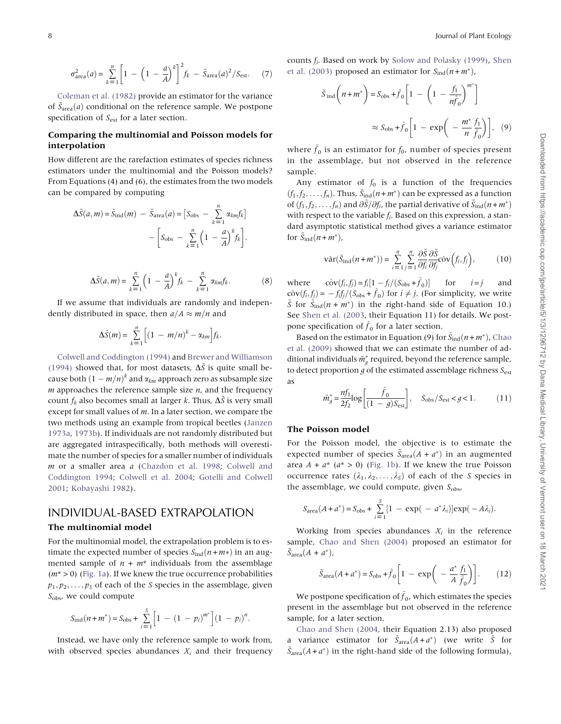$$
\sigma_{\text{area}}^2(a) = \sum_{k=1}^n \left[ 1 - \left( 1 - \frac{a}{A} \right)^k \right]^2 f_k - \tilde{S}_{\text{area}}(a)^2 / S_{\text{est}}.
$$
 (7)

[Coleman et al. \(1982\)](#page-19-0) provide an estimator for the variance of  $\tilde{S}_{area}(a)$  conditional on the reference sample. We postpone specification of  $S_{est}$  for a later section.

#### Comparing the multinomial and Poisson models for interpolation

How different are the rarefaction estimates of species richness estimators under the multinomial and the Poisson models? From Equations (4) and (6), the estimates from the two models can be compared by computing

$$
\Delta \tilde{S}(a, m) = \tilde{S}_{\text{ind}}(m) - \tilde{S}_{\text{area}}(a) = \left[S_{\text{obs}} - \sum_{k=1}^{n} \alpha_{km} f_k\right] - \left[S_{\text{obs}} - \sum_{k=1}^{n} \left(1 - \frac{a}{A}\right)^k f_k\right].
$$

$$
\Delta \tilde{S}(a,m) = \sum_{k=1}^{n} \left(1 - \frac{a}{A}\right)^{k} f_k - \sum_{k=1}^{n} \alpha_{km} f_k.
$$
 (8)

If we assume that individuals are randomly and independently distributed in space, then  $a/A \approx m/n$  and

$$
\Delta \tilde{S}(m) = \sum_{k=1}^{n} \Big[ (1 - m/n)^{k} - \alpha_{km} \Big] f_k.
$$

[Colwell and Coddington \(1994\)](#page-19-0) and [Brewer and Williamson](#page-19-0) [\(1994\)](#page-19-0) showed that, for most datasets,  $\Delta \tilde{S}$  is quite small because both  $(1 - m/n)^k$  and  $\alpha_{km}$  approach zero as subsample size  $m$  approaches the reference sample size  $n$ , and the frequency count  $f_k$  also becomes small at larger k. Thus,  $\Delta \tilde{S}$  is very small except for small values of  $m$ . In a later section, we compare the two methods using an example from tropical beetles [\(Janzen](#page-19-0) [1973a,](#page-19-0) [1973b](#page-19-0)). If individuals are not randomly distributed but are aggregated intraspecifically, both methods will overestimate the number of species for a smaller number of individuals  $m$  or a smaller area  $a$  [\(Chazdon et al. 1998](#page-19-0); [Colwell and](#page-19-0) [Coddington 1994](#page-19-0); [Colwell et al. 2004](#page-19-0); [Gotelli and Colwell](#page-19-0) [2001](#page-19-0); [Kobayashi 1982](#page-19-0)).

#### INDIVIDUAL-BASED EXTRAPOLATION

#### The multinomial model

For the multinomial model, the extrapolation problem is to estimate the expected number of species  $S_{ind}(n + m*)$  in an augmented sample of  $n + m^*$  individuals from the assemblage  $(m^* > 0)$  [\(Fig. 1a\)](#page-4-0). If we knew the true occurrence probabilities  $p_1, p_2, \ldots, p_s$  of each of the *S* species in the assemblage, given  $S_{\text{obs}}$ , we could compute

$$
S_{\text{ind}}(n+m^*) = S_{\text{obs}} + \sum_{i=1}^{S} \left[1 - (1 - p_i)^{m^*}\right](1 - p_i)^n.
$$

Instead, we have only the reference sample to work from, with observed species abundances  $X_i$  and their frequency counts  $f_i$ . Based on work by [Solow and Polasky \(1999\),](#page-20-0) [Shen](#page-20-0) [et al. \(2003\)](#page-20-0) proposed an estimator for  $S_{ind}(n+m^*)$ ,

$$
\tilde{S}_{\text{ind}}\left(n+m^*\right) = S_{\text{obs}} + \hat{f}_0 \left[1 - \left(1 - \frac{f_1}{n\hat{f}_0}\right)^{m^*}\right]
$$

$$
\approx S_{\text{obs}} + \hat{f}_0 \left[1 - \exp\left(-\frac{m^*}{n}\frac{f_1}{\hat{f}_0}\right)\right], \quad (9)
$$

where  $\hat{f}_0$  is an estimator for  $f_0$ , number of species present in the assemblage, but not observed in the reference sample.

Any estimator of  $f_0$  is a function of the frequencies  $(f_1, f_2, \ldots, f_n)$ . Thus,  $\tilde{S}_{ind}(n + m^*)$  can be expressed as a function of  $(f_1, f_2, \ldots, f_n)$  and  $\partial \tilde{S}/\partial f_i$ , the partial derivative of  $\tilde{S}_{ind}(n + m^*)$ with respect to the variable  $f_i$ . Based on this expression, a standard asymptotic statistical method gives a variance estimator for  $S_{\text{ind}}(n + m^*)$ ,

$$
\hat{\text{var}}(\tilde{S}_{\text{ind}}(n+m^*)) = \sum_{i=1}^n \sum_{j=1}^n \frac{\partial \tilde{S}}{\partial f_i} \frac{\partial \tilde{S}}{\partial f_j} \hat{\text{cov}}(f_i, f_j), \quad (10)
$$

where  $\hat{\text{cov}}(f_i, f_j) = f_i[1 - f_i/(S_{obs} + \hat{f}_0)]$  for  $i = j$  and  $\hat{\text{cov}}(f_i, f_j) = -\frac{f_i f_j}{S_{\text{obs}} + \hat{f}_0}$  for  $i \neq j$ . (For simplicity, we write  $\tilde{S}$  for  $\tilde{S}_{ind}(n + m^*)$  in the right-hand side of Equation 10.) See [Shen et al. \(2003,](#page-20-0) their Equation 11) for details. We postpone specification of  $\hat{f}_0$  for a later section.

Based on the estimator in Equation (9) for  $\tilde{S}_{ind}(n + m^*)$ , [Chao](#page-19-0) [et al. \(2009\)](#page-19-0) showed that we can estimate the number of additional individuals  $\tilde{m}_g^*$  required, beyond the reference sample, to detect proportion g of the estimated assemblage richness  $S_{est}$ as

$$
\tilde{m}_g^* = \frac{n f_1}{2 f_2} \log \left[ \frac{\hat{f}_0}{(1 - g) S_{\text{est}}} \right], \quad S_{\text{obs}} / S_{\text{est}} < g < 1. \tag{11}
$$

#### The Poisson model

For the Poisson model, the objective is to estimate the expected number of species  $\tilde{S}_{area}(A + a^*)$  in an augmented area  $A + a^*$  ( $a^* > 0$ ) [\(Fig. 1b\)](#page-4-0). If we knew the true Poisson occurrence rates  $(\lambda_1, \lambda_2, \ldots, \lambda_s)$  of each of the S species in the assemblage, we could compute, given  $S_{obs}$ ,

$$
S_{\text{area}}(A + a^*) = S_{\text{obs}} + \sum_{i=1}^{S} [1 - \exp(-a^* \lambda_i)] \exp(-A \lambda_i).
$$

Working from species abundances  $X_i$  in the reference sample, [Chao and Shen \(2004\)](#page-19-0) proposed an estimator for  $\tilde{S}_{area}(A + a^*),$ 

$$
\tilde{S}_{\text{area}}(A + a^*) = S_{\text{obs}} + \hat{f}_0 \left[ 1 - \exp\left( -\frac{a^*}{A} \frac{f_1}{\hat{f}_0} \right) \right]. \tag{12}
$$

We postpone specification of  $\hat{f}_0$ , which estimates the species present in the assemblage but not observed in the reference sample, for a later section.

[Chao and Shen \(2004](#page-19-0), their Equation 2.13) also proposed a variance estimator for  $\tilde{S}_{area}(A + a^*)$  (we write  $\tilde{S}$  for  $\tilde{S}_{area}(A + a^*)$  in the right-hand side of the following formula),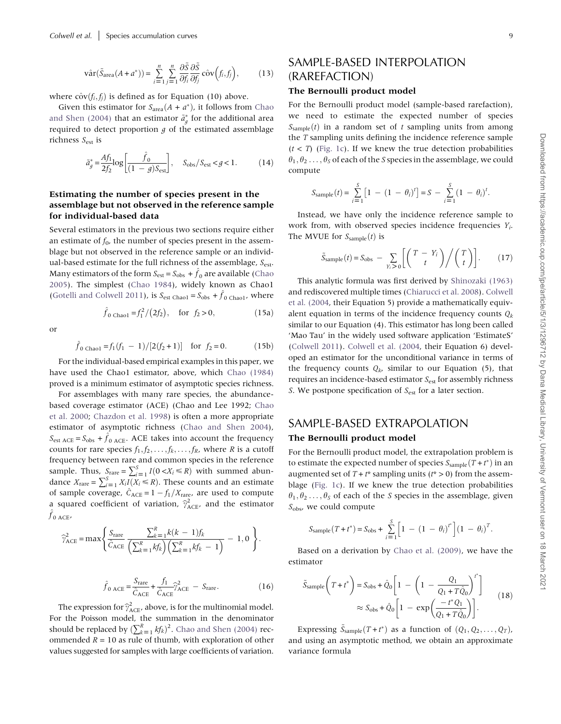$$
\widehat{\text{var}}(\widetilde{S}_{\text{area}}(A+a^*)) = \sum_{i=1}^{n} \sum_{j=1}^{n} \frac{\partial \widetilde{S}}{\partial f_i} \frac{\partial \widetilde{S}}{\partial f_j} \widehat{\text{cov}}(f_i, f_j), \quad (13)
$$

where  $\hat{\text{cov}}(f_i, f_j)$  is defined as for Equation (10) above.

Given this estimator for  $S<sub>area</sub>(A + a<sup>*</sup>)$ , it follows from [Chao](#page-19-0) [and Shen \(2004\)](#page-19-0) that an estimator  $\tilde{a}^*_{g}$  for the additional area required to detect proportion  $g$  of the estimated assemblage richness Sest is

$$
\tilde{a}_{g}^{*} = \frac{Af_{1}}{2f_{2}} \log \left[ \frac{\hat{f}_{0}}{(1 - g)S_{\text{est}}} \right], \quad S_{\text{obs}}/S_{\text{est}} < g < 1.
$$
 (14)

#### Estimating the number of species present in the assemblage but not observed in the reference sample for individual-based data

Several estimators in the previous two sections require either an estimate of  $f_0$ , the number of species present in the assemblage but not observed in the reference sample or an individual-based estimate for the full richness of the assemblage,  $S_{est}$ . Many estimators of the form  $S_{est} = S_{obs} + \hat{f}_0$  are available ([Chao](#page-19-0) [2005\)](#page-19-0). The simplest ([Chao 1984\)](#page-19-0), widely known as Chao1 [\(Gotelli and Colwell 2011\)](#page-19-0), is  $S_{est Chao1} = S_{obs} + \hat{f}_{0 Chao1}$ , where

$$
\hat{f}_{0 \text{ Chao1}} = f_1^2 / (2f_2), \text{ for } f_2 > 0,
$$
 (15a)

or

$$
\hat{f}_{0 \text{ Chao1}} = f_1(f_1 - 1) / [2(f_2 + 1)] \quad \text{for } f_2 = 0. \tag{15b}
$$

For the individual-based empirical examples in this paper, we have used the Chao1 estimator, above, which [Chao \(1984\)](#page-19-0) proved is a minimum estimator of asymptotic species richness.

For assemblages with many rare species, the abundancebased coverage estimator (ACE) (Chao and Lee 1992; [Chao](#page-19-0) [et al. 2000](#page-19-0); [Chazdon et al. 1998](#page-19-0)) is often a more appropriate estimator of asymptotic richness [\(Chao and Shen 2004\)](#page-19-0),  $S_{\text{est ACE}} = S_{\text{obs}} + \hat{f}_{0 \text{ ACE}}$ . ACE takes into account the frequency counts for rare species  $f_1, f_2, \ldots, f_k, \ldots, f_R$ , where R is a cutoff frequency between rare and common species in the reference sample. Thus,  $S_{\text{rare}} = \sum_{i=1}^{S} I(0 < X_i \le R)$  with summed abundance  $X_{\text{rare}} = \sum_{i=1}^{S} X_i \overline{I(X_i \leq R)}$ . These counts and an estimate of sample coverage,  $\hat{C}_{ACE} = 1 - f_1/X_{\text{rare}}$ , are used to compute a squared coefficient of variation,  $\hat{\gamma}^2_{ACE}$ , and the estimator  $f_{\rm 0 \,\, ACE}$ ,

$$
\widehat{\gamma}_{ACE}^2 = \max \left\{ \frac{S_{\text{rare}}}{\widehat{C}_{ACE}} \frac{\sum_{k=1}^R k(k-1) f_k}{\left(\sum_{k=1}^R k f_k\right) \left(\sum_{k=1}^R k f_k - 1\right)} - 1, 0 \right\}.
$$

$$
\hat{f}_{0 \text{ ACE}} = \frac{S_{\text{rare}}}{\hat{C}_{\text{ACE}}} + \frac{f_1}{\hat{C}_{\text{ACE}}} \hat{\gamma}_{\text{ACE}}^2 - S_{\text{rare}}.
$$
\n(16)

The expression for  $\widehat{\gamma}^2_{\text{ACE}}$ , above, is for the multinomial model. For the Poisson model, the summation in the denominator should be replaced by  $\left(\sum_{k=1}^{R} k f_k\right)^2$ . [Chao and Shen \(2004\)](#page-19-0) recommended  $R = 10$  as rule of thumb, with exploration of other values suggested for samples with large coefficients of variation.

## SAMPLE-BASED INTERPOLATION (RAREFACTION)

#### The Bernoulli product model

For the Bernoulli product model (sample-based rarefaction), we need to estimate the expected number of species  $S_{\text{sample}}(t)$  in a random set of t sampling units from among the T sampling units defining the incidence reference sample  $(t < T)$  [\(Fig. 1c](#page-4-0)). If we knew the true detection probabilities  $\theta_1, \theta_2 \ldots, \theta_S$  of each of the *S* species in the assemblage, we could compute

$$
S_{\text{sample}}(t) = \sum_{i=1}^{S} \left[ 1 - (1 - \theta_i)^t \right] = S - \sum_{i=1}^{S} (1 - \theta_i)^t.
$$

Instead, we have only the incidence reference sample to work from, with observed species incidence frequencies  $Y_i$ . The MVUE for  $S_{\text{sample}}(t)$  is

$$
\tilde{S}_{\text{sample}}(t) = S_{\text{obs}} - \sum_{Y_i > 0} \left[ \binom{T - Y_i}{t} / \binom{T}{t} \right]. \tag{17}
$$

This analytic formula was first derived by [Shinozaki \(1963\)](#page-20-0) and rediscovered multiple times [\(Chiarucci et al. 2008](#page-19-0)). [Colwell](#page-19-0) [et al. \(2004,](#page-19-0) their Equation 5) provide a mathematically equivalent equation in terms of the incidence frequency counts  $Q_k$ similar to our Equation (4). This estimator has long been called 'Mao Tau' in the widely used software application 'EstimateS' [\(Colwell 2011](#page-19-0)). [Colwell et al. \(2004,](#page-19-0) their Equation 6) developed an estimator for the unconditional variance in terms of the frequency counts  $Q_k$ , similar to our Equation (5), that requires an incidence-based estimator  $S_{est}$  for assembly richness S. We postpone specification of  $S_{est}$  for a later section.

## SAMPLE-BASED EXTRAPOLATION The Bernoulli product model

For the Bernoulli product model, the extrapolation problem is to estimate the expected number of species  $S_{\text{sample}}(T + t^*)$  in an augmented set of  $T + t^*$  sampling units ( $t^* > 0$ ) from the assemblage [\(Fig. 1c\)](#page-4-0). If we knew the true detection probabilities  $\theta_1, \theta_2, \ldots, \theta_s$  of each of the S species in the assemblage, given  $S_{\text{obs}}$ , we could compute

$$
S_{\text{sample}}(T + t^*) = S_{\text{obs}} + \sum_{i=1}^{S} \left[1 - (1 - \theta_i)^{t^*}\right](1 - \theta_i)^T.
$$

Based on a derivation by [Chao et al. \(2009\),](#page-19-0) we have the estimator

$$
\tilde{S}_{\text{sample}}\left(T+t^*\right) = S_{\text{obs}} + \hat{Q}_0 \left[1 - \left(1 - \frac{Q_1}{Q_1 + T\hat{Q}_0}\right)^{t^*}\right] \approx S_{\text{obs}} + \hat{Q}_0 \left[1 - \exp\left(\frac{-t^*Q_1}{Q_1 + T\hat{Q}_0}\right)\right].
$$
\n(18)

Expressing  $\tilde{S}_{\text{sample}}(T+t^*)$  as a function of  $(Q_1, Q_2, \ldots, Q_T)$ , and using an asymptotic method, we obtain an approximate variance formula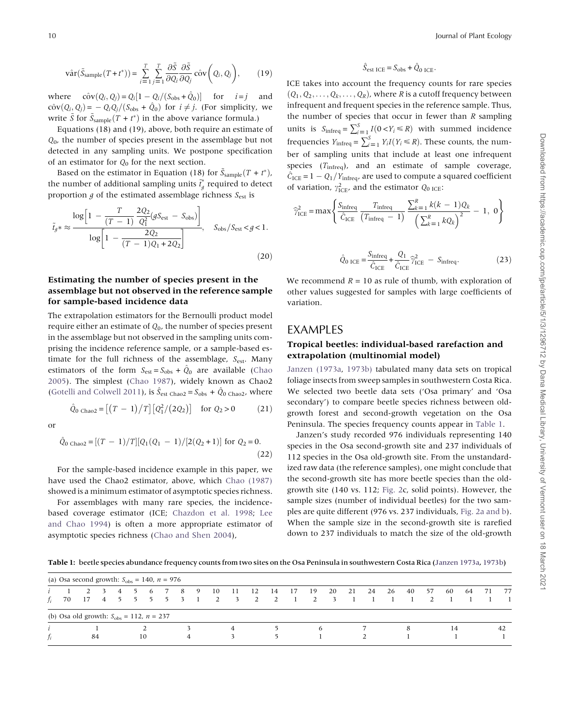<span id="page-9-0"></span>
$$
\hat{\text{var}}(\tilde{S}_{\text{sample}}(T+t^*)) = \sum_{i=1}^T \sum_{j=1}^T \frac{\partial \tilde{S}}{\partial Q_i} \frac{\partial \tilde{S}}{\partial Q_j} \hat{\text{cov}}(Q_i, Q_j), \quad (19)
$$

where  $\hat{\text{cov}}(Q_i, Q_j) = Q_i[1 - Q_i/(S_{obs} + \hat{Q}_0)]$  for  $i = j$  and  $\hat{\text{cov}}(Q_i, Q_j) = -Q_iQ_j/(S_{obs} + \hat{Q}_0)$  for  $i \neq j$ . (For simplicity, we write  $\tilde{S}$  for  $\tilde{S}_{sample}(T + t^*)$  in the above variance formula.)

Equations (18) and (19), above, both require an estimate of  $Q<sub>0</sub>$ , the number of species present in the assemblage but not detected in any sampling units. We postpone specification of an estimator for  $Q_0$  for the next section.

Based on the estimator in Equation (18) for  $\tilde{S}_{\text{sample}}(T + t^*)$ , the number of additional sampling units  $\tilde{t}_g^*$  required to detect proportion  $g$  of the estimated assemblage richness  $S_{est}$  is

$$
\tilde{t}_{g} * \approx \frac{\log\left[1 - \frac{T}{(T-1)} \frac{2Q_{2}}{Q_{1}^{2}} (gS_{\text{est}} - S_{\text{obs}})\right]}{\log\left[1 - \frac{2Q_{2}}{(T-1)Q_{1} + 2Q_{2}}\right]}, \quad S_{\text{obs}}/S_{\text{est}} < g < 1.
$$
\n(20)

#### Estimating the number of species present in the assemblage but not observed in the reference sample for sample-based incidence data

The extrapolation estimators for the Bernoulli product model require either an estimate of  $Q_0$ , the number of species present in the assemblage but not observed in the sampling units comprising the incidence reference sample, or a sample-based estimate for the full richness of the assemblage,  $S_{est}$ . Many estimators of the form  $S_{est} = S_{obs} + \hat{Q}_0$  are available ([Chao](#page-19-0) [2005](#page-19-0)). The simplest [\(Chao 1987](#page-19-0)), widely known as Chao2 ([Gotelli and Colwell 2011](#page-19-0)), is  $\hat{S}_{est Chao2} = S_{obs} + \hat{Q}_{0 Chao2}$ , where

or

$$
\hat{Q}_{0 \text{ Chao2}} = [(T - 1)/T][Q_1(Q_1 - 1)/[2(Q_2 + 1)] \text{ for } Q_2 = 0.
$$
\n(22)

 $\hat{Q}_0$  Chao2 =  $[(T-1)/T][Q_1^2/(2Q_2)]$  for  $Q_2 > 0$  (21)

For the sample-based incidence example in this paper, we have used the Chao2 estimator, above, which [Chao \(1987\)](#page-19-0) showed is a minimum estimator of asymptotic species richness.

For assemblages with many rare species, the incidencebased coverage estimator (ICE; [Chazdon et al. 1998;](#page-19-0) [Lee](#page-19-0) [and Chao 1994\)](#page-19-0) is often a more appropriate estimator of asymptotic species richness ([Chao and Shen 2004\)](#page-19-0),

#### $\hat{S}_{est \text{ICE}} = S_{obs} + \hat{Q}_{0 \text{ICE}}$ .

ICE takes into account the frequency counts for rare species  $(Q_1, Q_2, \ldots, Q_k, \ldots, Q_R)$ , where R is a cutoff frequency between infrequent and frequent species in the reference sample. Thus, the number of species that occur in fewer than  *sampling* units is  $S_{\text{infreq}} = \sum_{i=1}^{S} I(0 < Y_i \le R)$  with summed incidence frequencies  $Y_{\text{infreq}} = \sum_{i=1}^{S} Y_i I(Y_i \leq R)$ . These counts, the number of sampling units that include at least one infrequent species  $(T<sub>infreq</sub>)$ , and an estimate of sample coverage,  $\hat{C}_{\text{ICE}} = 1 - Q_1/Y_{\text{infreq}}$ , are used to compute a squared coefficient of variation,  $\gamma_{\text{ICE}}^2$ , and the estimator  $Q_{0 \text{ICE}}$ :

$$
\widehat{\gamma}_{\text{ICE}}^2 = \max \left\{ \frac{S_{\text{infreq}}}{\widehat{C}_{\text{ICE}}} \frac{T_{\text{infreq}}}{(T_{\text{infreq}} - 1)} \frac{\sum_{k=1}^R k(k-1)Q_k}{\left(\sum_{k=1}^R kQ_k\right)^2} - 1, \ 0 \right\}
$$

$$
\hat{Q}_{0 \text{ ICE}} = \frac{S_{\text{infreq}}}{\hat{C}_{\text{ICE}}} + \frac{Q_1}{\hat{C}_{\text{ICE}}}\hat{\gamma}_{\text{ICE}}^2 - S_{\text{infreq}}.\tag{23}
$$

We recommend  $R = 10$  as rule of thumb, with exploration of other values suggested for samples with large coefficients of variation.

## EXAMPLES

#### Tropical beetles: individual-based rarefaction and extrapolation (multinomial model)

[Janzen \(1973a,](#page-19-0) [1973b\)](#page-19-0) tabulated many data sets on tropical foliage insects from sweep samples in southwestern Costa Rica. We selected two beetle data sets ('Osa primary' and 'Osa secondary') to compare beetle species richness between oldgrowth forest and second-growth vegetation on the Osa Peninsula. The species frequency counts appear in Table 1.

Janzen's study recorded 976 individuals representing 140 species in the Osa second-growth site and 237 individuals of 112 species in the Osa old-growth site. From the unstandardized raw data (the reference samples), one might conclude that the second-growth site has more beetle species than the oldgrowth site (140 vs. 112; [Fig. 2c](#page-10-0), solid points). However, the sample sizes (number of individual beetles) for the two samples are quite different (976 vs. 237 individuals, [Fig. 2a and b\)](#page-10-0). When the sample size in the second-growth site is rarefied down to 237 individuals to match the size of the old-growth

Table 1: beetle species abundance frequency counts from two sites on the Osa Peninsula in southwestern Costa Rica ([Janzen 1973a](#page-19-0), [1973b](#page-19-0))

|  | (a) Osa second growth: $S_{\text{obs}} = 140$ , $n = 976$ |  |     |    |  |    |                                                |      |                      |               |    |                      |                               |    |    |      |    |    |     |    |    |    |
|--|-----------------------------------------------------------|--|-----|----|--|----|------------------------------------------------|------|----------------------|---------------|----|----------------------|-------------------------------|----|----|------|----|----|-----|----|----|----|
|  |                                                           |  | 4 5 | -6 |  | 89 | - 10<br>f <sub>i</sub> 70 17 4 5 5 5 5 3 1 2 3 | - 11 | <sup>12</sup><br>2 2 | <sup>14</sup> | 17 | 19<br>$\overline{2}$ | 20<br>$\overline{\mathbf{3}}$ | 21 | 24 | - 26 | 40 | 57 | -60 | 64 | 71 | 77 |
|  | (b) Osa old growth: $S_{\text{obs}} = 112$ , $n = 237$    |  |     |    |  |    |                                                |      |                      |               |    |                      |                               |    |    |      |    |    |     |    |    |    |
|  | 84                                                        |  |     | 10 |  |    |                                                | 4    |                      |               |    | 6                    |                               |    |    |      | 8  |    | 14  |    |    | 42 |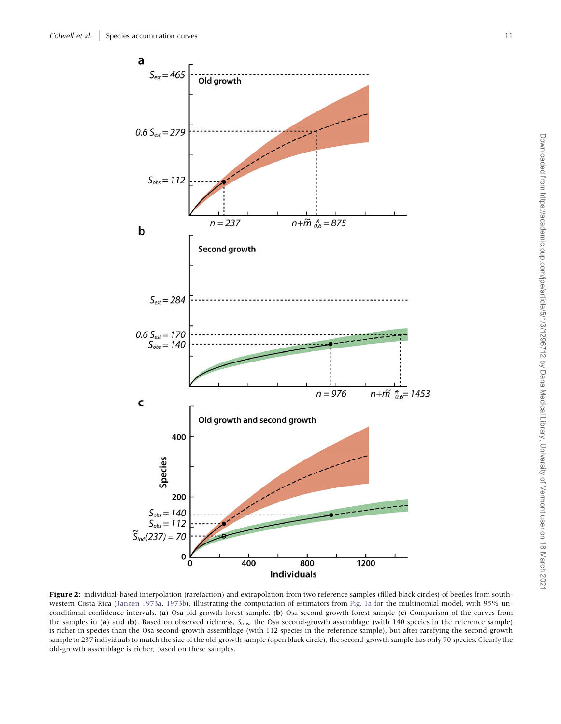<span id="page-10-0"></span>

Figure 2: individual-based interpolation (rarefaction) and extrapolation from two reference samples (filled black circles) of beetles from southwestern Costa Rica [\(Janzen 1973a](#page-19-0), [1973b](#page-19-0)), illustrating the computation of estimators from [Fig. 1a](#page-4-0) for the multinomial model, with 95% unconditional confidence intervals. (a) Osa old-growth forest sample. (b) Osa second-growth forest sample (c) Comparison of the curves from the samples in (a) and (b). Based on observed richness,  $S_{\text{obs}}$ , the Osa second-growth assemblage (with 140 species in the reference sample) is richer in species than the Osa second-growth assemblage (with 112 species in the reference sample), but after rarefying the second-growth sample to 237 individuals to match the size of the old-growth sample (open black circle), the second-growth sample has only 70 species. Clearly the old-growth assemblage is richer, based on these samples.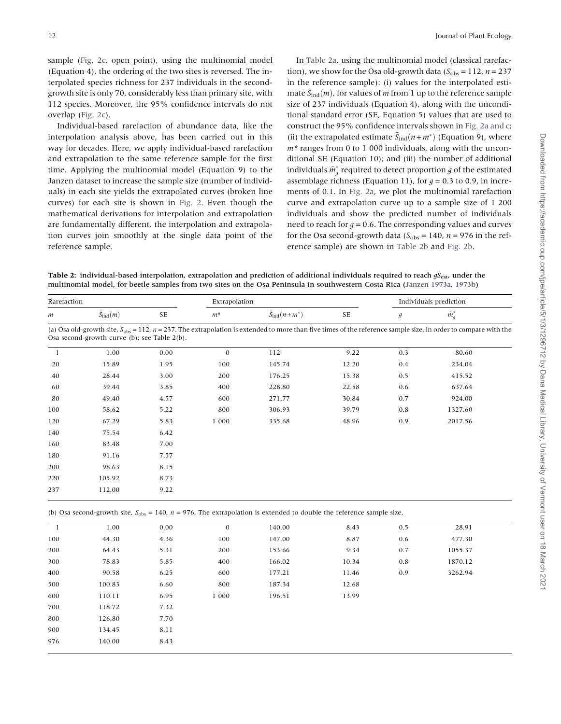<span id="page-11-0"></span>sample ([Fig. 2c](#page-10-0), open point), using the multinomial model (Equation 4), the ordering of the two sites is reversed. The interpolated species richness for 237 individuals in the secondgrowth site is only 70, considerably less than primary site, with 112 species. Moreover, the 95% confidence intervals do not overlap [\(Fig. 2c\)](#page-10-0).

Individual-based rarefaction of abundance data, like the interpolation analysis above, has been carried out in this way for decades. Here, we apply individual-based rarefaction and extrapolation to the same reference sample for the first time. Applying the multinomial model (Equation 9) to the Janzen dataset to increase the sample size (number of individuals) in each site yields the extrapolated curves (broken line curves) for each site is shown in [Fig. 2.](#page-10-0) Even though the mathematical derivations for interpolation and extrapolation are fundamentally different, the interpolation and extrapolation curves join smoothly at the single data point of the reference sample.

In Table 2a, using the multinomial model (classical rarefaction), we show for the Osa old-growth data ( $S_{\text{obs}} = 112$ ,  $n = 237$ in the reference sample): (i) values for the interpolated estimate  $\tilde{S}_{ind}(m)$ , for values of m from 1 up to the reference sample size of 237 individuals (Equation 4), along with the unconditional standard error (SE, Equation 5) values that are used to construct the 95% confidence intervals shown in [Fig. 2a and c;](#page-10-0) (ii) the extrapolated estimate  $\tilde{S}_{ind}(n + m^*)$  (Equation 9), where  $m^*$  ranges from 0 to 1 000 individuals, along with the unconditional SE (Equation 10); and (iii) the number of additional individuals  $\tilde{m}^*_g$  required to detect proportion  $g$  of the estimated assemblage richness (Equation 11), for  $g = 0.3$  to 0.9, in increments of 0.1. In [Fig. 2a](#page-10-0), we plot the multinomial rarefaction curve and extrapolation curve up to a sample size of 1 200 individuals and show the predicted number of individuals need to reach for  $g = 0.6$ . The corresponding values and curves for the Osa second-growth data ( $S_{\text{obs}} = 140$ ,  $n = 976$  in the reference sample) are shown in Table 2b and [Fig. 2b.](#page-10-0)

Table 2: individual-based interpolation, extrapolation and prediction of additional individuals required to reach  $gS_{est}$ , under the multinomial model, for beetle samples from two sites on the Osa Peninsula in southwestern Costa Rica [\(Janzen 1973a,](#page-19-0) [1973b](#page-19-0))

| Rarefaction |                                              |           | Extrapolation |                                 | Individuals prediction |                |                                                                                                                                                                         |  |
|-------------|----------------------------------------------|-----------|---------------|---------------------------------|------------------------|----------------|-------------------------------------------------------------------------------------------------------------------------------------------------------------------------|--|
| m           | $\tilde{S}_{\text{ind}}(m)$                  | <b>SE</b> | $m^*$         | $\tilde{S}_{\text{ind}}(n+m^*)$ | <b>SE</b>              | $\mathfrak{g}$ | $\tilde{m}_g^*$                                                                                                                                                         |  |
|             | Osa second-growth curve (b); see Table 2(b). |           |               |                                 |                        |                | (a) Osa old-growth site, $S_{obs} = 112$ , $n = 237$ . The extrapolation is extended to more than five times of the reference sample size, in order to compare with the |  |
| -1          | 1.00                                         | 0.00      | $\mathbf{0}$  | 112                             | 9.22                   | 0.3            | 80.60                                                                                                                                                                   |  |
| 20          | 15.89                                        | 1.95      | 100           | 145.74                          | 12.20                  | 0.4            | 234.04                                                                                                                                                                  |  |
| 40          | 28.44                                        | 3.00      | 200           | 176.25                          | 15.38                  | 0.5            | 415.52                                                                                                                                                                  |  |
| 60          | 39.44                                        | 3.85      | 400           | 228.80                          | 22.58                  | 0.6            | 637.64                                                                                                                                                                  |  |
| 80          | 49.40                                        | 4.57      | 600           | 271.77                          | 30.84                  | 0.7            | 924.00                                                                                                                                                                  |  |
| 100         | 58.62                                        | 5.22      | 800           | 306.93                          | 39.79                  | 0.8            | 1327.60                                                                                                                                                                 |  |
| 120         | 67.29                                        | 5.83      | 1 000         | 335.68                          | 48.96                  | 0.9            | 2017.56                                                                                                                                                                 |  |
| 140         | 75.54                                        | 6.42      |               |                                 |                        |                |                                                                                                                                                                         |  |
| 160         | 83.48                                        | 7.00      |               |                                 |                        |                |                                                                                                                                                                         |  |
| 180         | 91.16                                        | 7.57      |               |                                 |                        |                |                                                                                                                                                                         |  |
| 200         | 98.63                                        | 8.15      |               |                                 |                        |                |                                                                                                                                                                         |  |
| 220         | 105.92                                       | 8.73      |               |                                 |                        |                |                                                                                                                                                                         |  |
| 237         | 112.00                                       | 9.22      |               |                                 |                        |                |                                                                                                                                                                         |  |

| 1   | 1.00   | 0.00 | $\mathbf{0}$ | 140.00 | 8.43  | 0.5 | 28.91   |
|-----|--------|------|--------------|--------|-------|-----|---------|
| 100 | 44.30  | 4.36 | 100          | 147.00 | 8.87  | 0.6 | 477.30  |
| 200 | 64.43  | 5.31 | 200          | 153.66 | 9.34  | 0.7 | 1055.37 |
| 300 | 78.83  | 5.85 | 400          | 166.02 | 10.34 | 0.8 | 1870.12 |
| 400 | 90.58  | 6.25 | 600          | 177.21 | 11.46 | 0.9 | 3262.94 |
| 500 | 100.83 | 6.60 | 800          | 187.34 | 12.68 |     |         |
| 600 | 110.11 | 6.95 | 1 000        | 196.51 | 13.99 |     |         |
| 700 | 118.72 | 7.32 |              |        |       |     |         |
| 800 | 126.80 | 7.70 |              |        |       |     |         |
| 900 | 134.45 | 8.11 |              |        |       |     |         |
| 976 | 140.00 | 8.43 |              |        |       |     |         |
|     |        |      |              |        |       |     |         |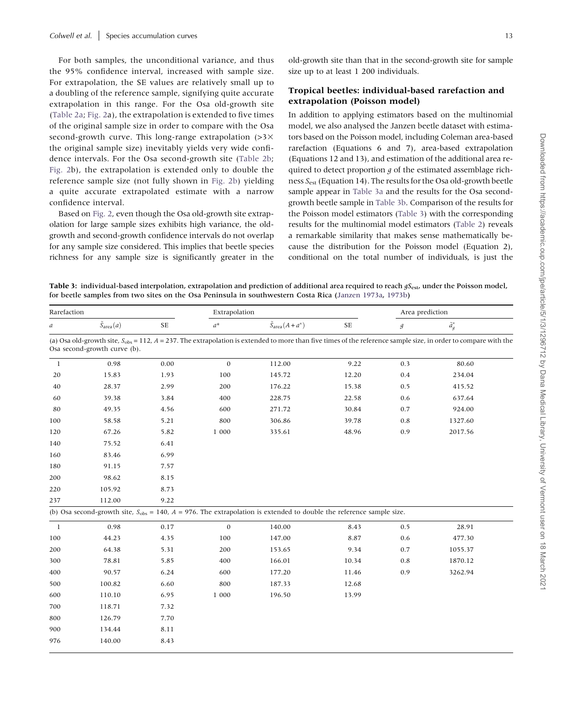<span id="page-12-0"></span>For both samples, the unconditional variance, and thus the 95% confidence interval, increased with sample size. For extrapolation, the SE values are relatively small up to a doubling of the reference sample, signifying quite accurate extrapolation in this range. For the Osa old-growth site [\(Table 2a;](#page-11-0) [Fig. 2](#page-10-0)a), the extrapolation is extended to five times of the original sample size in order to compare with the Osa second-growth curve. This long-range extrapolation  $(>3)$   $\times$ the original sample size) inevitably yields very wide confidence intervals. For the Osa second-growth site ([Table 2b](#page-11-0); [Fig. 2b](#page-10-0)), the extrapolation is extended only to double the reference sample size (not fully shown in [Fig. 2b](#page-10-0)) yielding a quite accurate extrapolated estimate with a narrow confidence interval.

Based on [Fig. 2](#page-10-0), even though the Osa old-growth site extrapolation for large sample sizes exhibits high variance, the oldgrowth and second-growth confidence intervals do not overlap for any sample size considered. This implies that beetle species richness for any sample size is significantly greater in the

old-growth site than that in the second-growth site for sample size up to at least 1 200 individuals.

#### Tropical beetles: individual-based rarefaction and extrapolation (Poisson model)

In addition to applying estimators based on the multinomial model, we also analysed the Janzen beetle dataset with estimators based on the Poisson model, including Coleman area-based rarefaction (Equations 6 and 7), area-based extrapolation (Equations 12 and 13), and estimation of the additional area required to detect proportion  $g$  of the estimated assemblage richness  $S_{est}$  (Equation 14). The results for the Osa old-growth beetle sample appear in Table 3a and the results for the Osa secondgrowth beetle sample in Table 3b. Comparison of the results for the Poisson model estimators (Table 3) with the corresponding results for the multinomial model estimators ([Table 2](#page-11-0)) reveals a remarkable similarity that makes sense mathematically because the distribution for the Poisson model (Equation 2), conditional on the total number of individuals, is just the

Table 3: individual-based interpolation, extrapolation and prediction of additional area required to reach  $gS_{est}$ , under the Poisson model, for beetle samples from two sites on the Osa Peninsula in southwestern Costa Rica ([Janzen 1973a](#page-19-0), [1973b\)](#page-19-0)

| Rarefaction  |                              |      | Extrapolation |                                                                                                                              |       | Area prediction |                                                                                                                                                                         |
|--------------|------------------------------|------|---------------|------------------------------------------------------------------------------------------------------------------------------|-------|-----------------|-------------------------------------------------------------------------------------------------------------------------------------------------------------------------|
| а            | $\tilde{S}_{\text{area}}(a)$ | SE   | $a^*$         | $\tilde{S}_{area}(A + a^*)$                                                                                                  | SE    | $\mathcal G$    | $\tilde{a}^*_g$                                                                                                                                                         |
|              | Osa second-growth curve (b). |      |               |                                                                                                                              |       |                 | (a) Osa old-growth site, $S_{obs} = 112$ , $A = 237$ . The extrapolation is extended to more than five times of the reference sample size, in order to compare with the |
| -1           | 0.98                         | 0.00 | $\mathbf{0}$  | 112.00                                                                                                                       | 9.22  | 0.3             | 80.60                                                                                                                                                                   |
| 20           | 15.83                        | 1.93 | 100           | 145.72                                                                                                                       | 12.20 | 0.4             | 234.04                                                                                                                                                                  |
| 40           | 28.37                        | 2.99 | 200           | 176.22                                                                                                                       | 15.38 | 0.5             | 415.52                                                                                                                                                                  |
| 60           | 39.38                        | 3.84 | 400           | 228.75                                                                                                                       | 22.58 | 0.6             | 637.64                                                                                                                                                                  |
| 80           | 49.35                        | 4.56 | 600           | 271.72                                                                                                                       | 30.84 | 0.7             | 924.00                                                                                                                                                                  |
| 100          | 58.58                        | 5.21 | 800           | 306.86                                                                                                                       | 39.78 | 0.8             | 1327.60                                                                                                                                                                 |
| 120          | 67.26                        | 5.82 | 1 000         | 335.61                                                                                                                       | 48.96 | 0.9             | 2017.56                                                                                                                                                                 |
| 140          | 75.52                        | 6.41 |               |                                                                                                                              |       |                 |                                                                                                                                                                         |
| 160          | 83.46                        | 6.99 |               |                                                                                                                              |       |                 |                                                                                                                                                                         |
| 180          | 91.15                        | 7.57 |               |                                                                                                                              |       |                 |                                                                                                                                                                         |
| 200          | 98.62                        | 8.15 |               |                                                                                                                              |       |                 |                                                                                                                                                                         |
| 220          | 105.92                       | 8.73 |               |                                                                                                                              |       |                 |                                                                                                                                                                         |
| 237          | 112.00                       | 9.22 |               |                                                                                                                              |       |                 |                                                                                                                                                                         |
|              |                              |      |               | (b) Osa second-growth site, $S_{obs} = 140$ , $A = 976$ . The extrapolation is extended to double the reference sample size. |       |                 |                                                                                                                                                                         |
| $\mathbf{1}$ | 0.98                         | 0.17 | $\mathbf 0$   | 140.00                                                                                                                       | 8.43  | 0.5             | 28.91                                                                                                                                                                   |
| 100          | 44.23                        | 4.35 | 100           | 147.00                                                                                                                       | 8.87  | 0.6             | 477.30                                                                                                                                                                  |
| 200          | 64.38                        | 5.31 | 200           | 153.65                                                                                                                       | 9.34  | 0.7             | 1055.37                                                                                                                                                                 |
| 300          | 78.81                        | 5.85 | 400           | 166.01                                                                                                                       | 10.34 | 0.8             | 1870.12                                                                                                                                                                 |
| 400          | 90.57                        | 6.24 | 600           | 177.20                                                                                                                       | 11.46 | 0.9             | 3262.94                                                                                                                                                                 |
| 500          | 100.82                       | 6.60 | 800           | 187.33                                                                                                                       | 12.68 |                 |                                                                                                                                                                         |
| 600          | 110.10                       | 6.95 | 1 000         | 196.50                                                                                                                       | 13.99 |                 |                                                                                                                                                                         |
| 700          | 118.71                       | 7.32 |               |                                                                                                                              |       |                 |                                                                                                                                                                         |
| 800          | 126.79                       | 7.70 |               |                                                                                                                              |       |                 |                                                                                                                                                                         |
| 900          | 134.44                       | 8.11 |               |                                                                                                                              |       |                 |                                                                                                                                                                         |
| 976          | 140.00                       | 8.43 |               |                                                                                                                              |       |                 |                                                                                                                                                                         |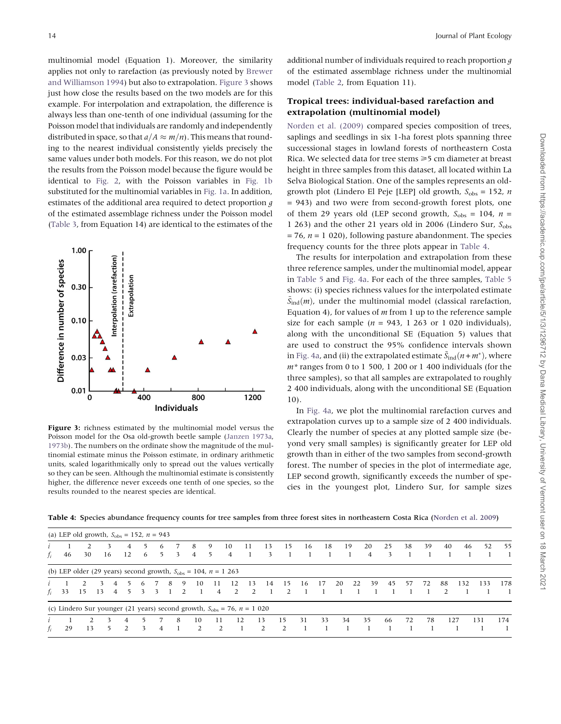<span id="page-13-0"></span>multinomial model (Equation 1). Moreover, the similarity applies not only to rarefaction (as previously noted by [Brewer](#page-19-0) [and Williamson 1994](#page-19-0)) but also to extrapolation. Figure 3 shows just how close the results based on the two models are for this example. For interpolation and extrapolation, the difference is always less than one-tenth of one individual (assuming for the Poisson model that individuals are randomly and independently distributed in space, so that  $a/A \approx m/n$ . This means that rounding to the nearest individual consistently yields precisely the same values under both models. For this reason, we do not plot the results from the Poisson model because the figure would be identical to [Fig. 2](#page-10-0), with the Poisson variables in [Fig. 1b](#page-4-0) substituted for the multinomial variables in [Fig. 1a.](#page-4-0) In addition, estimates of the additional area required to detect proportion g of the estimated assemblage richness under the Poisson model ([Table 3,](#page-12-0) from Equation 14) are identical to the estimates of the



Figure 3: richness estimated by the multinomial model versus the Poisson model for the Osa old-growth beetle sample [\(Janzen 1973a,](#page-19-0) [1973b](#page-19-0)). The numbers on the ordinate show the magnitude of the multinomial estimate minus the Poisson estimate, in ordinary arithmetic units, scaled logarithmically only to spread out the values vertically so they can be seen. Although the multinomial estimate is consistently higher, the difference never exceeds one tenth of one species, so the results rounded to the nearest species are identical.

additional number of individuals required to reach proportion  $g$ of the estimated assemblage richness under the multinomial model [\(Table 2,](#page-11-0) from Equation 11).

#### Tropical trees: individual-based rarefaction and extrapolation (multinomial model)

[Norden et al. \(2009\)](#page-20-0) compared species composition of trees, saplings and seedlings in six 1-ha forest plots spanning three successional stages in lowland forests of northeastern Costa Rica. We selected data for tree stems  $\geq 5$  cm diameter at breast height in three samples from this dataset, all located within La Selva Biological Station. One of the samples represents an oldgrowth plot (Lindero El Peje [LEP] old growth,  $S_{obs} = 152$ , n = 943) and two were from second-growth forest plots, one of them 29 years old (LEP second growth,  $S_{obs} = 104$ ,  $n =$ 1 263) and the other 21 years old in 2006 (Lindero Sur,  $S_{obs}$  $= 76$ ,  $n = 1$  020), following pasture abandonment. The species frequency counts for the three plots appear in Table 4.

The results for interpolation and extrapolation from these three reference samples, under the multinomial model, appear in [Table 5](#page-14-0) and [Fig. 4a](#page-15-0). For each of the three samples, [Table 5](#page-14-0) shows: (i) species richness values for the interpolated estimate  $\tilde{S}_{ind}(m)$ , under the multinomial model (classical rarefaction, Equation 4), for values of  $m$  from 1 up to the reference sample size for each sample ( $n = 943$ , 1 263 or 1 020 individuals), along with the unconditional SE (Equation 5) values that are used to construct the 95% confidence intervals shown in [Fig. 4a,](#page-15-0) and (ii) the extrapolated estimate  $\tilde{S}_{ind}(n + m^*)$ , where  $m^*$  ranges from 0 to 1 500, 1 200 or 1 400 individuals (for the three samples), so that all samples are extrapolated to roughly 2 400 individuals, along with the unconditional SE (Equation 10).

In [Fig. 4a,](#page-15-0) we plot the multinomial rarefaction curves and extrapolation curves up to a sample size of 2 400 individuals. Clearly the number of species at any plotted sample size (beyond very small samples) is significantly greater for LEP old growth than in either of the two samples from second-growth forest. The number of species in the plot of intermediate age, LEP second growth, significantly exceeds the number of species in the youngest plot, Lindero Sur, for sample sizes

Table 4: Species abundance frequency counts for tree samples from three forest sites in northeastern Costa Rica [\(Norden et al. 2009\)](#page-20-0)

|       |          | (a) LEP old growth, $S_{\text{obs}} = 152$ , $n = 943$                        |    |    |    |    |   |        |    |    |    |     |    |    |    |    |    |    |    |     |    |    |     |     |     |      |
|-------|----------|-------------------------------------------------------------------------------|----|----|----|----|---|--------|----|----|----|-----|----|----|----|----|----|----|----|-----|----|----|-----|-----|-----|------|
|       |          |                                                                               |    |    | 4  | 5. | 6 | 7      | 8  | 9  | 10 | -11 | 13 | 15 | 16 | 18 | 19 |    | 20 | 25  | 38 | 39 | 40  | 46  | 52  | - 55 |
| $f_i$ | 46       | 30                                                                            | 16 | 12 |    | -6 | 5 | 3      | 4  | 5  | 4  |     | 3  |    |    |    |    |    | 4  | 3   |    |    |     |     |     | -1   |
|       |          | (b) LEP older (29 years) second growth, $S_{obs} = 104$ , $n = 1263$          |    |    |    |    |   |        |    |    |    |     |    |    |    |    |    |    |    |     |    |    |     |     |     |      |
|       |          |                                                                               |    | 4  |    |    |   | 8<br>9 | 10 | 11 | 12 | 13  | 14 | 15 | 16 | 17 | 20 | 22 | 39 | 45  | 57 | 72 | 88  | 132 | 133 | 178  |
|       | $f_i$ 33 | 15                                                                            | 13 | 4  | -5 | 3  | 3 |        |    | 4  | 2  | 2   |    | 2  |    |    |    |    |    |     |    |    |     |     |     |      |
|       |          | (c) Lindero Sur younger (21 years) second growth, $S_{obs} = 76$ , $n = 1020$ |    |    |    |    |   |        |    |    |    |     |    |    |    |    |    |    |    |     |    |    |     |     |     |      |
|       |          |                                                                               |    | 4  |    |    |   | 8      | 10 | 11 | 12 |     | 13 | 15 | 31 | 33 | 34 |    | 35 | -66 | 72 | 78 | 127 |     | 131 | 174  |
| $f_i$ | 29       | 13                                                                            | 5  | 2  |    | 3  | 4 |        | 2  | 2  |    |     | 2  | 2  |    |    |    |    |    |     |    |    |     |     |     |      |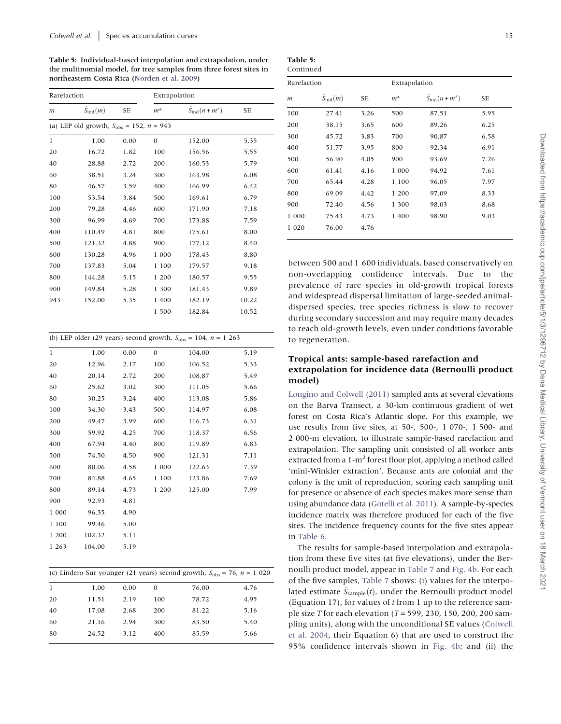<span id="page-14-0"></span>Table 5: Individual-based interpolation and extrapolation, under the multinomial model, for tree samples from three forest sites in northeastern Costa Rica ([Norden et al. 2009](#page-20-0))

| Rarefaction |                                                        |      | Extrapolation |                          |       |
|-------------|--------------------------------------------------------|------|---------------|--------------------------|-------|
| m           | $\tilde{S}_{ind}(m)$                                   | SE   | $m^*$         | $\tilde{S}_{ind}(n+m^*)$ | SE    |
|             | (a) LEP old growth, $S_{\text{obs}} = 152$ , $n = 943$ |      |               |                          |       |
| 1           | 1.00                                                   | 0.00 | $\mathbf{0}$  | 152.00                   | 5.35  |
| 20          | 16.72                                                  | 1.82 | 100           | 156.56                   | 5.55  |
| 40          | 28.88                                                  | 2.72 | 200           | 160.53                   | 5.79  |
| 60          | 38.51                                                  | 3.24 | 300           | 163.98                   | 6.08  |
| 80          | 46.57                                                  | 3.59 | 400           | 166.99                   | 6.42  |
| 100         | 53.54                                                  | 3.84 | 500           | 169.61                   | 6.79  |
| 200         | 79.28                                                  | 4.46 | 600           | 171.90                   | 7.18  |
| 300         | 96.99                                                  | 4.69 | 700           | 173.88                   | 7.59  |
| 400         | 110.49                                                 | 4.81 | 800           | 175.61                   | 8.00  |
| 500         | 121.32                                                 | 4.88 | 900           | 177.12                   | 8.40  |
| 600         | 130.28                                                 | 4.96 | 1 000         | 178.43                   | 8.80  |
| 700         | 137.83                                                 | 5.04 | 1 100         | 179.57                   | 9.18  |
| 800         | 144.28                                                 | 5.15 | 1 200         | 180.57                   | 9.55  |
| 900         | 149.84                                                 | 5.28 | 1 300         | 181.43                   | 9.89  |
| 943         | 152.00                                                 | 5.35 | 1 400         | 182.19                   | 10.22 |
|             |                                                        |      | 1 500         | 182.84                   | 10.52 |

| (b) LEP older (29 years) second growth, $S_{\text{obs}} = 104$ , $n = 1263$ |        |      |              |        |      |  |  |  |  |  |
|-----------------------------------------------------------------------------|--------|------|--------------|--------|------|--|--|--|--|--|
| 1                                                                           | 1.00   | 0.00 | $\mathbf{0}$ | 104.00 | 5.19 |  |  |  |  |  |
| 20                                                                          | 12.96  | 2.17 | 100          | 106.52 | 5.33 |  |  |  |  |  |
| 40                                                                          | 20.14  | 2.72 | 200          | 108.87 | 5.49 |  |  |  |  |  |
| 60                                                                          | 25.62  | 3.02 | 300          | 111.05 | 5.66 |  |  |  |  |  |
| 80                                                                          | 30.25  | 3.24 | 400          | 113.08 | 5.86 |  |  |  |  |  |
| 100                                                                         | 34.30  | 3.43 | 500          | 114.97 | 6.08 |  |  |  |  |  |
| 200                                                                         | 49.47  | 3.99 | 600          | 116.73 | 6.31 |  |  |  |  |  |
| 300                                                                         | 59.92  | 4.25 | 700          | 118.37 | 6.56 |  |  |  |  |  |
| 400                                                                         | 67.94  | 4.40 | 800          | 119.89 | 6.83 |  |  |  |  |  |
| 500                                                                         | 74.50  | 4.50 | 900          | 121.31 | 7.11 |  |  |  |  |  |
| 600                                                                         | 80.06  | 4.58 | 1 000        | 122.63 | 7.39 |  |  |  |  |  |
| 700                                                                         | 84.88  | 4.65 | 1 100        | 123.86 | 7.69 |  |  |  |  |  |
| 800                                                                         | 89.14  | 4.73 | 1 200        | 125.00 | 7.99 |  |  |  |  |  |
| 900                                                                         | 92.93  | 4.81 |              |        |      |  |  |  |  |  |
| 1 000                                                                       | 96.35  | 4.90 |              |        |      |  |  |  |  |  |
| 1 100                                                                       | 99.46  | 5.00 |              |        |      |  |  |  |  |  |
| 1 200                                                                       | 102.32 | 5.11 |              |        |      |  |  |  |  |  |
| 1 263                                                                       | 104.00 | 5.19 |              |        |      |  |  |  |  |  |

|    |       |      |     | (c) Lindero Sur younger (21 years) second growth, $S_{obs} = 76$ , $n = 1020$ |      |
|----|-------|------|-----|-------------------------------------------------------------------------------|------|
| 1  | 1.00  | 0.00 | 0   | 76.00                                                                         | 4.76 |
| 20 | 11.51 | 2.19 | 100 | 78.72                                                                         | 4.95 |
| 40 | 17.08 | 2.68 | 200 | 81.22                                                                         | 5.16 |
| 60 | 21.16 | 2.94 | 300 | 83.50                                                                         | 5.40 |
| 80 | 24.52 | 3.12 | 400 | 85.59                                                                         | 5.66 |
|    |       |      |     |                                                                               |      |

| Rarefaction |                             |      | Extrapolation |                         |      |  |  |  |
|-------------|-----------------------------|------|---------------|-------------------------|------|--|--|--|
| m           | $\tilde{S}_{\text{ind}}(m)$ | SE   | $m^*$         | $S_{\text{ind}}(n+m^*)$ | SЕ   |  |  |  |
| 100         | 27.41                       | 3.26 | 500           | 87.51                   | 5.95 |  |  |  |
| 200         | 38.15                       | 3.65 | 600           | 89.26                   | 6.25 |  |  |  |
| 300         | 45.72                       | 3.83 | 700           | 90.87                   | 6.58 |  |  |  |
| 400         | 51.77                       | 3.95 | 800           | 92.34                   | 6.91 |  |  |  |
| 500         | 56.90                       | 4.05 | 900           | 93.69                   | 7.26 |  |  |  |
| 600         | 61.41                       | 4.16 | 1 000         | 94.92                   | 7.61 |  |  |  |
| 700         | 65.44                       | 4.28 | 1 100         | 96.05                   | 7.97 |  |  |  |
| 800         | 69.09                       | 4.42 | 1 200         | 97.09                   | 8.33 |  |  |  |
| 900         | 72.40                       | 4.56 | 1 300         | 98.03                   | 8.68 |  |  |  |
| 1 000       | 75.43                       | 4.73 | 1 400         | 98.90                   | 9.03 |  |  |  |
| 1 0 2 0     | 76.00                       | 4.76 |               |                         |      |  |  |  |

between 500 and 1 600 individuals, based conservatively on non-overlapping confidence intervals. Due to the prevalence of rare species in old-growth tropical forests and widespread dispersal limitation of large-seeded animaldispersed species, tree species richness is slow to recover during secondary succession and may require many decades to reach old-growth levels, even under conditions favorable to regeneration.

#### Tropical ants: sample-based rarefaction and extrapolation for incidence data (Bernoulli product model)

[Longino and Colwell \(2011\)](#page-19-0) sampled ants at several elevations on the Barva Transect, a 30-km continuous gradient of wet forest on Costa Rica's Atlantic slope. For this example, we use results from five sites, at 50-, 500-, 1 070-, 1 500- and 2 000-m elevation, to illustrate sample-based rarefaction and extrapolation. The sampling unit consisted of all worker ants extracted from a  $1-m^2$  forest floor plot, applying a method called 'mini-Winkler extraction'. Because ants are colonial and the colony is the unit of reproduction, scoring each sampling unit for presence or absence of each species makes more sense than using abundance data [\(Gotelli et al. 2011](#page-19-0)). A sample-by-species incidence matrix was therefore produced for each of the five sites. The incidence frequency counts for the five sites appear in [Table 6](#page-16-0).

The results for sample-based interpolation and extrapolation from these five sites (at five elevations), under the Bernoulli product model, appear in [Table 7](#page-17-0) and [Fig. 4b](#page-15-0). For each of the five samples, [Table 7](#page-17-0) shows: (i) values for the interpolated estimate  $\tilde{S}_{sample}(t)$ , under the Bernoulli product model (Equation 17), for values of  $t$  from 1 up to the reference sample size T for each elevation ( $T = 599$ , 230, 150, 200, 200 sampling units), along with the unconditional SE values ([Colwell](#page-19-0) [et al. 2004](#page-19-0), their Equation 6) that are used to construct the 95% confidence intervals shown in [Fig. 4b](#page-15-0); and (ii) the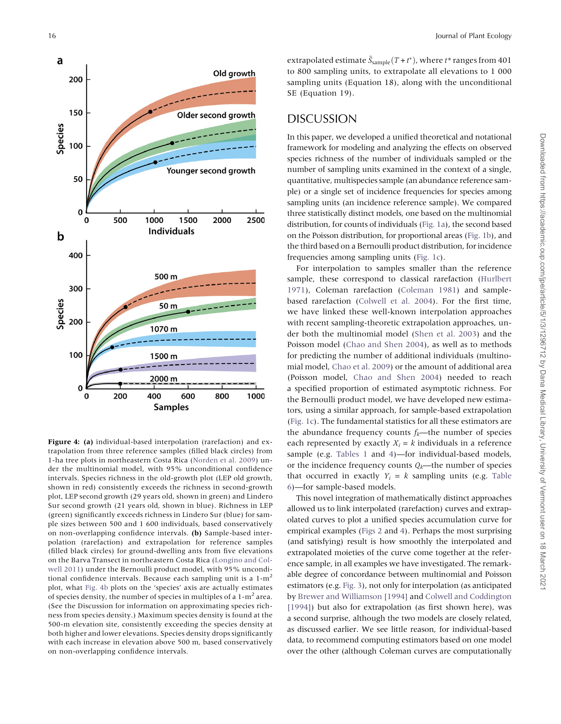<span id="page-15-0"></span>

Figure 4: (a) individual-based interpolation (rarefaction) and extrapolation from three reference samples (filled black circles) from 1-ha tree plots in northeastern Costa Rica ([Norden et al. 2009\)](#page-20-0) under the multinomial model, with 95% unconditional confidence intervals. Species richness in the old-growth plot (LEP old growth, shown in red) consistently exceeds the richness in second-growth plot, LEP second growth (29 years old, shown in green) and Lindero Sur second growth (21 years old, shown in blue). Richness in LEP (green) significantly exceeds richness in Lindero Sur (blue) for sample sizes between 500 and 1 600 individuals, based conservatively on non-overlapping confidence intervals. (b) Sample-based interpolation (rarefaction) and extrapolation for reference samples (filled black circles) for ground-dwelling ants from five elevations on the Barva Transect in northeastern Costa Rica [\(Longino and Col](#page-19-0)[well 2011](#page-19-0)) under the Bernoulli product model, with 95% unconditional confidence intervals. Because each sampling unit is a  $1-m^2$ plot, what Fig. 4b plots on the 'species' axis are actually estimates of species density, the number of species in multiples of a 1-m<sup>2</sup> area. (See the Discussion for information on approximating species richness from species density.) Maximum species density is found at the 500-m elevation site, consistently exceeding the species density at both higher and lower elevations. Species density drops significantly with each increase in elevation above 500 m, based conservatively on non-overlapping confidence intervals.

extrapolated estimate  $\tilde{S}_{\text{sample}}(T + t^*)$ , where  $t^*$  ranges from 401 to 800 sampling units, to extrapolate all elevations to 1 000 sampling units (Equation 18), along with the unconditional SE (Equation 19).

#### DISCUSSION

In this paper, we developed a unified theoretical and notational framework for modeling and analyzing the effects on observed species richness of the number of individuals sampled or the number of sampling units examined in the context of a single, quantitative, multispecies sample (an abundance reference sample) or a single set of incidence frequencies for species among sampling units (an incidence reference sample). We compared three statistically distinct models, one based on the multinomial distribution, for counts of individuals ([Fig. 1a\)](#page-4-0), the second based on the Poisson distribution, for proportional areas [\(Fig. 1b\)](#page-4-0), and the third based on a Bernoulli product distribution, for incidence frequencies among sampling units [\(Fig. 1c](#page-4-0)).

For interpolation to samples smaller than the reference sample, these correspond to classical rarefaction ([Hurlbert](#page-19-0) [1971](#page-19-0)), Coleman rarefaction [\(Coleman 1981](#page-19-0)) and samplebased rarefaction [\(Colwell et al. 2004](#page-19-0)). For the first time, we have linked these well-known interpolation approaches with recent sampling-theoretic extrapolation approaches, under both the multinomial model ([Shen et al. 2003](#page-20-0)) and the Poisson model ([Chao and Shen 2004\)](#page-19-0), as well as to methods for predicting the number of additional individuals (multinomial model, [Chao et al. 2009\)](#page-19-0) or the amount of additional area (Poisson model, [Chao and Shen 2004\)](#page-19-0) needed to reach a specified proportion of estimated asymptotic richness. For the Bernoulli product model, we have developed new estimators, using a similar approach, for sample-based extrapolation ([Fig. 1c](#page-4-0)). The fundamental statistics for all these estimators are the abundance frequency counts  $f_k$ —the number of species each represented by exactly  $X_i = k$  individuals in a reference sample (e.g. [Tables 1](#page-9-0) and [4\)](#page-13-0)—for individual-based models, or the incidence frequency counts  $Q_k$ —the number of species that occurred in exactly  $Y_i = k$  sampling units (e.g. [Table](#page-16-0) [6](#page-16-0))—for sample-based models.

This novel integration of mathematically distinct approaches allowed us to link interpolated (rarefaction) curves and extrapolated curves to plot a unified species accumulation curve for empirical examples ([Figs 2](#page-10-0) and 4). Perhaps the most surprising (and satisfying) result is how smoothly the interpolated and extrapolated moieties of the curve come together at the reference sample, in all examples we have investigated. The remarkable degree of concordance between multinomial and Poisson estimators (e.g. [Fig. 3\)](#page-13-0), not only for interpolation (as anticipated by [Brewer and Williamson \[1994\]](#page-19-0) and [Colwell and Coddington](#page-19-0) [\[1994\]\)](#page-19-0) but also for extrapolation (as first shown here), was a second surprise, although the two models are closely related, as discussed earlier. We see little reason, for individual-based data, to recommend computing estimators based on one model over the other (although Coleman curves are computationally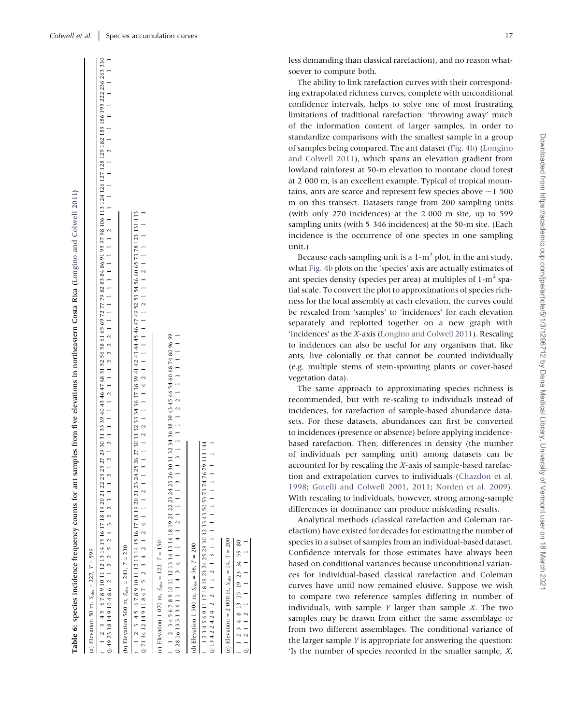(b) Elevation 500 m,  $S_{\rm obs} = 241$ ,  $T = 230$ 

i

Elevation 1 070 m,  $S_{\rm obs} = 122$ ,  $T = 150$ (c) Elevation 1 070 m,  $S_{\text{obs}} = 122$ ,  $T = 150$  $\widehat{\mathbf{C}}$ 

 $T=200\,$ (d) Elevation 1 500 m,  $S_{obs} = 56$ ,  $T = 200$  $= 56,$  $S_{\rm obs}$ : (d) Elevation 1 500 m,

| 200                       | 80             |   |
|---------------------------|----------------|---|
|                           | 59             |   |
| $= 14, T$                 | $\frac{34}{3}$ |   |
|                           | 23             |   |
| $S_{obs}$                 | $\overline{0}$ |   |
| $\vec{E}$                 |                |   |
| $_{00}$<br>$\overline{C}$ | $^{13}$        |   |
|                           | $\infty$       | Ń |
|                           |                |   |
| Elevation                 |                |   |
|                           |                |   |
|                           |                |   |
| $\bar{\rm e}$             |                | ä |

<span id="page-16-0"></span>less demanding than classical rarefaction), and no reason whatsoever to compute both.

The ability to link rarefaction curves with their corresponding extrapolated richness curves, complete with unconditional confidence intervals, helps to solve one of most frustrating limitations of traditional rarefaction: 'throwing away' much of the information content of larger samples, in order to standardize comparisons with the smallest sample in a group of samples being compared. The ant dataset ([Fig. 4b](#page-15-0)) [\(Longino](#page-19-0) [and Colwell 2011\)](#page-19-0), which spans an elevation gradient from lowland rainforest at 50-m elevation to montane cloud forest at 2 000 m, is an excellent example. Typical of tropical mountains, ants are scarce and represent few species above  $\sim$ 1 500 m on this transect. Datasets range from 200 sampling units (with only 270 incidences) at the 2 000 m site, up to 599 sampling units (with 5 346 incidences) at the 50-m site. (Each incidence is the occurrence of one species in one sampling unit.)

Because each sampling unit is a  $1-m^2$  plot, in the ant study, what [Fig. 4b](#page-15-0) plots on the 'species' axis are actually estimates of ant species density (species per area) at multiples of  $1\text{-m}^2$  spatial scale. To convert the plot to approximations of species richness for the local assembly at each elevation, the curves could be rescaled from 'samples' to 'incidences' for each elevation separately and replotted together on a new graph with 'incidences' as the X-axis [\(Longino and Colwell 2011\)](#page-19-0). Rescaling to incidences can also be useful for any organisms that, like ants, live colonially or that cannot be counted individually (e.g. multiple stems of stem-sprouting plants or cover-based vegetation data).

The same approach to approximating species richness is recommended, but with re-scaling to individuals instead of incidences, for rarefaction of sample-based abundance datasets. For these datasets, abundances can first be converted to incidences (presence or absence) before applying incidencebased rarefaction. Then, differences in density (the number of individuals per sampling unit) among datasets can be accounted for by rescaling the X-axis of sample-based rarefaction and extrapolation curves to individuals ([Chazdon et al.](#page-19-0) [1998](#page-19-0) ; [Gotelli and Colwell 2001](#page-19-0) , [2011](#page-19-0) ; [Norden et al. 2009\)](#page-20-0). With rescaling to individuals, however, strong among-sample differences in dominance can produce misleading results.

Analytical methods (classical rarefaction and Coleman rarefaction) have existed for decades for estimating the number of species in a subset of samples from an individual-based dataset. Confidence intervals for those estimates have always been based on conditional variances because unconditional variances for individual-based classical rarefaction and Coleman curves have until now remained elusive. Suppose we wish to compare two reference samples differing in number of individuals, with sample  $Y$  larger than sample  $X$ . The two samples may be drawn from either the same assemblage or from two different assemblages. The conditional variance of the larger sample Y is appropriate for answering the question: 'Is the number of species recorded in the smaller sample, X,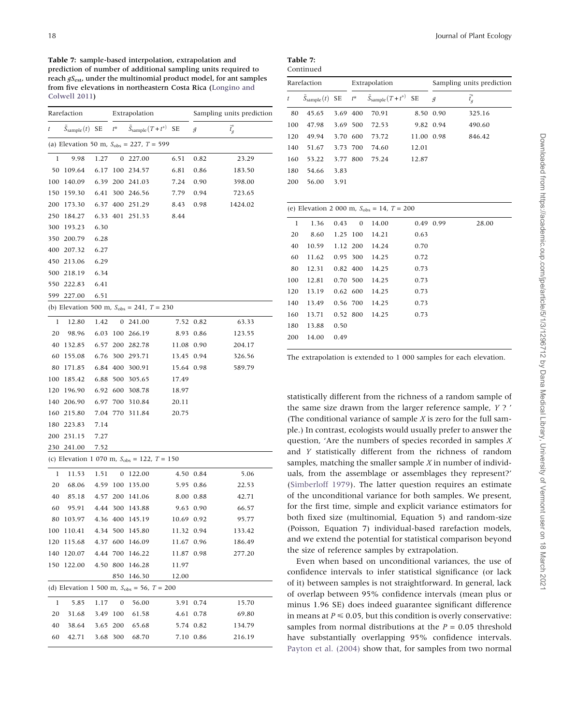<span id="page-17-0"></span>Table 7: sample-based interpolation, extrapolation and prediction of number of additional sampling units required to reach  $gS_{est}$ , under the multinomial product model, for ant samples from five elevations in northeastern Costa Rica [\(Longino and](#page-19-0) [Colwell 2011\)](#page-19-0)

| Rarefaction |                                   |          |          | Extrapolation                                             |            | Sampling units prediction |                 |  |  |
|-------------|-----------------------------------|----------|----------|-----------------------------------------------------------|------------|---------------------------|-----------------|--|--|
| t           | $\tilde{S}_{\text{sample}}(t)$ SE |          | $t^*$    | $\tilde{S}_{\text{sample}}(T + t^*)$ SE                   |            | $\mathfrak{g}$            | $\tilde{t}^*_g$ |  |  |
|             |                                   |          |          | (a) Elevation 50 m, $S_{\text{obs}} = 227$ , $T = 599$    |            |                           |                 |  |  |
| l           | 9.98                              | 1.27     | 0        | 227.00                                                    | 6.51       | 0.82                      | 23.29           |  |  |
| 50          | 109.64                            | 6.17     | 100      | 234.57                                                    | 6.81       | 0.86                      | 183.50          |  |  |
| 100         | 140.09                            | 6.39     | 200      | 241.03                                                    | 7.24       | 0.90                      | 398.00          |  |  |
| 150         | 159.30                            | 6.41     | 300      | 246.56                                                    | 7.79       | 0.94                      | 723.65          |  |  |
| 200         | 173.30                            | 6.37     | 400      | 251.29                                                    | 8.43       | 0.98                      | 1424.02         |  |  |
| 250         | 184.27                            | 6.33 401 |          | 251.33                                                    | 8.44       |                           |                 |  |  |
| 300         | 193.23                            | 6.30     |          |                                                           |            |                           |                 |  |  |
| 350         | 200.79                            | 6.28     |          |                                                           |            |                           |                 |  |  |
| 400         | 207.32                            | 6.27     |          |                                                           |            |                           |                 |  |  |
| 450         | 213.06                            | 6.29     |          |                                                           |            |                           |                 |  |  |
| 500         | 218.19                            | 6.34     |          |                                                           |            |                           |                 |  |  |
| 550         | 222.83                            | 6.41     |          |                                                           |            |                           |                 |  |  |
|             | 599 227.00                        | 6.51     |          |                                                           |            |                           |                 |  |  |
|             |                                   |          |          | (b) Elevation 500 m, $S_{\text{obs}} = 241$ , $T = 230$   |            |                           |                 |  |  |
| l           | 12.80                             | 1.42     | 0        | 241.00                                                    | 7.52       | 0.82                      | 63.33           |  |  |
| 20          | 98.96                             | 6.03     | 100      | 266.19                                                    | 8.93       | 0.86                      | 123.55          |  |  |
| 40          | 132.85                            | 6.57     | 200      | 282.78                                                    | 11.08      | 0.90                      | 204.17          |  |  |
| 60          | 155.08                            | 6.76     | 300      | 293.71                                                    | 13.45      | 0.94                      | 326.56          |  |  |
| 80          | 171.85                            | 6.84     | 400      | 300.91                                                    | 15.64      | 0.98                      | 589.79          |  |  |
| 100         | 185.42                            | 6.88     | 500      | 305.65                                                    | 17.49      |                           |                 |  |  |
| 120         | 196.90                            | 6.92     | 600      | 308.78                                                    | 18.97      |                           |                 |  |  |
| 140         | 206.90                            | 6.97     | 700      | 310.84                                                    | 20.11      |                           |                 |  |  |
| 160         | 215.80                            | 7.04     |          | 770 311.84                                                | 20.75      |                           |                 |  |  |
| 180         | 223.83                            | 7.14     |          |                                                           |            |                           |                 |  |  |
| 200         | 231.15                            | 7.27     |          |                                                           |            |                           |                 |  |  |
|             | 230 241.00                        | 7.52     |          |                                                           |            |                           |                 |  |  |
|             |                                   |          |          | (c) Elevation 1 070 m, $S_{\text{obs}} = 122$ , $T = 150$ |            |                           |                 |  |  |
| 1           | 11.53                             | 1.51     | 0        | 122.00                                                    | 4.50       | 0.84                      | 5.06            |  |  |
| 20          | 68.06                             | 4.59     | 100      | 135.00                                                    | 5.95       | 0.86                      | 22.53           |  |  |
| 40          | 85.18                             | 4.57     | 200      | 141.06                                                    | 8.00       | 0.88                      | 42.71           |  |  |
| 60          | 95.91                             |          | 4.44 300 | 143.88                                                    |            | 9.63 0.90                 | 66.57           |  |  |
|             | 80 103.97                         |          |          | 4.36 400 145.19                                           | 10.69 0.92 |                           | 95.77           |  |  |
|             | 100 110.41                        |          |          | 4.34 500 145.80                                           | 11.32 0.94 |                           | 133.42          |  |  |
| 120         | 115.68                            | 4.37 600 |          | 146.09                                                    | 11.67 0.96 |                           | 186.49          |  |  |
| 140         | 120.07                            | 4.44 700 |          | 146.22                                                    | 11.87 0.98 |                           | 277.20          |  |  |
| 150         | 122.00                            | 4.50 800 |          | 146.28                                                    | 11.97      |                           |                 |  |  |
|             |                                   |          | 850      | 146.30                                                    | 12.00      |                           |                 |  |  |
|             |                                   |          |          | (d) Elevation 1 500 m, $S_{\text{obs}} = 56$ , $T = 200$  |            |                           |                 |  |  |
| l           | 5.85                              | 1.17     | 0        | 56.00                                                     | 3.91       | 0.74                      | 15.70           |  |  |
| 20          | 31.68                             | 3.49     | 100      | 61.58                                                     | 4.61       | 0.78                      | 69.80           |  |  |
| 40          | 38.64                             | 3.65     | 200      | 65.68                                                     | 5.74       | 0.82                      | 134.79          |  |  |
| 60          | 42.71                             | 3.68     | 300      | 68.70                                                     | 7.10       | 0.86                      | 216.19          |  |  |
|             |                                   |          |          |                                                           |            |                           |                 |  |  |

Table 7: Continued

|     | Rarefaction                     |          | Extrapolation                           |            | Sampling units prediction |                 |  |  |  |
|-----|---------------------------------|----------|-----------------------------------------|------------|---------------------------|-----------------|--|--|--|
| t   | $S_{\text{sample}}(t)$ SE $t^*$ |          | $\tilde{S}_{\text{sample}}(T + t^*)$ SE |            | $\mathfrak{q}$            | $\tilde{t}_g^*$ |  |  |  |
| 80  | 45.65                           | 3.69 400 | 70.91                                   |            | 8.50 0.90                 | 325.16          |  |  |  |
| 100 | 47.98                           | 3.69 500 | 72.53                                   |            | 9.82 0.94                 | 490.60          |  |  |  |
| 120 | 49.94                           | 3.70 600 | 73.72                                   | 11.00 0.98 |                           | 846.42          |  |  |  |
| 140 | 51.67                           | 3.73 700 | 74.60                                   | 12.01      |                           |                 |  |  |  |
| 160 | 53.22                           | 3.77 800 | 75.24                                   | 12.87      |                           |                 |  |  |  |
| 180 | 54.66                           | 3.83     |                                         |            |                           |                 |  |  |  |
| 200 | 56.00                           | 3.91     |                                         |            |                           |                 |  |  |  |
|     |                                 |          |                                         |            |                           |                 |  |  |  |

| (e) Elevation 2 000 m, $S_{obs} = 14$ , $T = 200$ |       |          |              |       |           |       |
|---------------------------------------------------|-------|----------|--------------|-------|-----------|-------|
| 1                                                 | 1.36  | 0.43     | $\mathbf{0}$ | 14.00 | 0.49 0.99 | 28.00 |
| 20                                                | 8.60  | 1.25 100 |              | 14.21 | 0.63      |       |
| 40                                                | 10.59 | 1.12 200 |              | 14.24 | 0.70      |       |
| 60                                                | 11.62 | 0.95 300 |              | 14.25 | 0.72      |       |
| 80                                                | 12.31 | 0.82 400 |              | 14.25 | 0.73      |       |
| 100                                               | 12.81 | 0.70 500 |              | 14.25 | 0.73      |       |
| 120                                               | 13.19 | 0.62 600 |              | 14.25 | 0.73      |       |
| 140                                               | 13.49 | 0.56 700 |              | 14.25 | 0.73      |       |
| 160                                               | 13.71 | 0.52 800 |              | 14.25 | 0.73      |       |
| 180                                               | 13.88 | 0.50     |              |       |           |       |
| 200                                               | 14.00 | 0.49     |              |       |           |       |
|                                                   |       |          |              |       |           |       |

The extrapolation is extended to 1 000 samples for each elevation.

statistically different from the richness of a random sample of the same size drawn from the larger reference sample, Y ? ' (The conditional variance of sample  $X$  is zero for the full sample.) In contrast, ecologists would usually prefer to answer the question, 'Are the numbers of species recorded in samples X and Y statistically different from the richness of random samples, matching the smaller sample  $X$  in number of individuals, from the assemblage or assemblages they represent?' ([Simberloff 1979](#page-20-0)). The latter question requires an estimate of the unconditional variance for both samples. We present, for the first time, simple and explicit variance estimators for both fixed size (multinomial, Equation 5) and random-size (Poisson, Equation 7) individual-based rarefaction models, and we extend the potential for statistical comparison beyond the size of reference samples by extrapolation.

Even when based on unconditional variances, the use of confidence intervals to infer statistical significance (or lack of it) between samples is not straightforward. In general, lack of overlap between 95% confidence intervals (mean plus or minus 1.96 SE) does indeed guarantee significant difference in means at  $P \le 0.05$ , but this condition is overly conservative: samples from normal distributions at the  $P = 0.05$  threshold have substantially overlapping 95% confidence intervals. [Payton et al. \(2004\)](#page-20-0) show that, for samples from two normal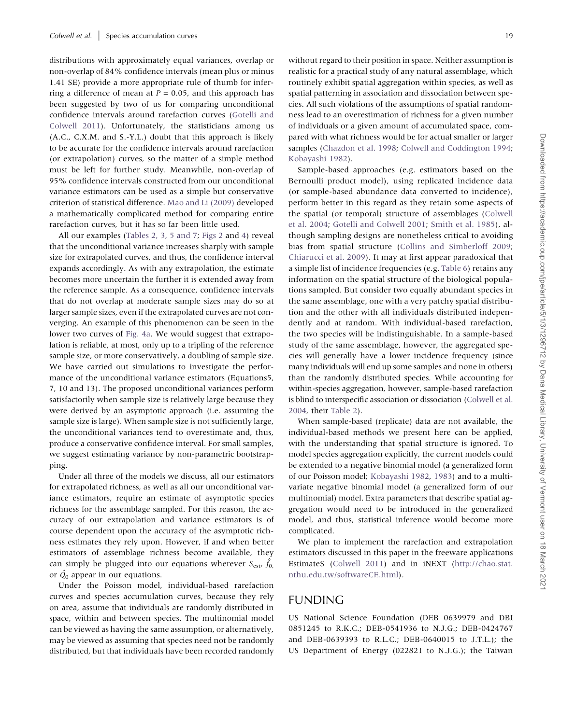distributions with approximately equal variances, overlap or non-overlap of 84% confidence intervals (mean plus or minus 1.41 SE) provide a more appropriate rule of thumb for inferring a difference of mean at  $P = 0.05$ , and this approach has been suggested by two of us for comparing unconditional confidence intervals around rarefaction curves [\(Gotelli and](#page-19-0) [Colwell 2011\)](#page-19-0). Unfortunately, the statisticians among us (A.C., C.X.M. and S.-Y.L.) doubt that this approach is likely to be accurate for the confidence intervals around rarefaction (or extrapolation) curves, so the matter of a simple method must be left for further study. Meanwhile, non-overlap of 95% confidence intervals constructed from our unconditional variance estimators can be used as a simple but conservative criterion of statistical difference. [Mao and Li \(2009\)](#page-20-0) developed a mathematically complicated method for comparing entire rarefaction curves, but it has so far been little used.

All our examples (Tables 2, 3, 5 and 7; [Figs 2](#page-10-0) and [4\)](#page-15-0) reveal that the unconditional variance increases sharply with sample size for extrapolated curves, and thus, the confidence interval expands accordingly. As with any extrapolation, the estimate becomes more uncertain the further it is extended away from the reference sample. As a consequence, confidence intervals that do not overlap at moderate sample sizes may do so at larger sample sizes, even if the extrapolated curves are not converging. An example of this phenomenon can be seen in the lower two curves of [Fig. 4a](#page-15-0). We would suggest that extrapolation is reliable, at most, only up to a tripling of the reference sample size, or more conservatively, a doubling of sample size. We have carried out simulations to investigate the performance of the unconditional variance estimators (Equations5, 7, 10 and 13). The proposed unconditional variances perform satisfactorily when sample size is relatively large because they were derived by an asymptotic approach (i.e. assuming the sample size is large). When sample size is not sufficiently large, the unconditional variances tend to overestimate and, thus, produce a conservative confidence interval. For small samples, we suggest estimating variance by non-parametric bootstrapping.

Under all three of the models we discuss, all our estimators for extrapolated richness, as well as all our unconditional variance estimators, require an estimate of asymptotic species richness for the assemblage sampled. For this reason, the accuracy of our extrapolation and variance estimators is of course dependent upon the accuracy of the asymptotic richness estimates they rely upon. However, if and when better estimators of assemblage richness become available, they can simply be plugged into our equations wherever  $S_{est}$ ,  $\hat{f}_0$ , or  $\hat{Q_0}$  appear in our equations.

Under the Poisson model, individual-based rarefaction curves and species accumulation curves, because they rely on area, assume that individuals are randomly distributed in space, within and between species. The multinomial model can be viewed as having the same assumption, or alternatively, may be viewed as assuming that species need not be randomly distributed, but that individuals have been recorded randomly without regard to their position in space. Neither assumption is realistic for a practical study of any natural assemblage, which routinely exhibit spatial aggregation within species, as well as spatial patterning in association and dissociation between species. All such violations of the assumptions of spatial randomness lead to an overestimation of richness for a given number of individuals or a given amount of accumulated space, compared with what richness would be for actual smaller or larger samples [\(Chazdon et al. 1998](#page-19-0); [Colwell and Coddington 1994](#page-19-0); [Kobayashi 1982](#page-19-0)).

Sample-based approaches (e.g. estimators based on the Bernoulli product model), using replicated incidence data (or sample-based abundance data converted to incidence), perform better in this regard as they retain some aspects of the spatial (or temporal) structure of assemblages ([Colwell](#page-19-0) [et al. 2004;](#page-19-0) [Gotelli and Colwell 2001;](#page-19-0) [Smith et al. 1985](#page-20-0)), although sampling designs are nonetheless critical to avoiding bias from spatial structure ([Collins and Simberloff 2009](#page-19-0); [Chiarucci et al. 2009\)](#page-19-0). It may at first appear paradoxical that a simple list of incidence frequencies (e.g. [Table 6](#page-16-0)) retains any information on the spatial structure of the biological populations sampled. But consider two equally abundant species in the same assemblage, one with a very patchy spatial distribution and the other with all individuals distributed independently and at random. With individual-based rarefaction, the two species will be indistinguishable. In a sample-based study of the same assemblage, however, the aggregated species will generally have a lower incidence frequency (since many individuals will end up some samples and none in others) than the randomly distributed species. While accounting for within-species aggregation, however, sample-based rarefaction is blind to interspecific association or dissociation [\(Colwell et al.](#page-19-0) [2004](#page-19-0), their [Table 2\)](#page-11-0).

When sample-based (replicate) data are not available, the individual-based methods we present here can be applied, with the understanding that spatial structure is ignored. To model species aggregation explicitly, the current models could be extended to a negative binomial model (a generalized form of our Poisson model; [Kobayashi 1982](#page-19-0), [1983](#page-19-0)) and to a multivariate negative binomial model (a generalized form of our multinomial) model. Extra parameters that describe spatial aggregation would need to be introduced in the generalized model, and thus, statistical inference would become more complicated.

We plan to implement the rarefaction and extrapolation estimators discussed in this paper in the freeware applications EstimateS [\(Colwell 2011\)](#page-19-0) and in iNEXT [\(http://chao.stat.](http://chao.stat.nthu.edu.tw/softwareCE.html) [nthu.edu.tw/softwareCE.html\)](http://chao.stat.nthu.edu.tw/softwareCE.html).

## FUNDING

US National Science Foundation (DEB 0639979 and DBI 0851245 to R.K.C.; DEB-0541936 to N.J.G.; DEB-0424767 and DEB-0639393 to R.L.C.; DEB-0640015 to J.T.L.); the US Department of Energy (022821 to N.J.G.); the Taiwan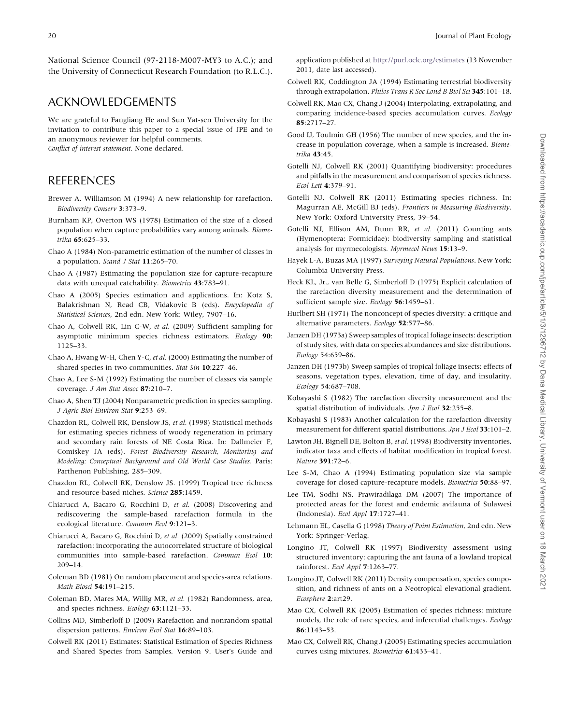<span id="page-19-0"></span>National Science Council (97-2118-M007-MY3 to A.C.); and the University of Connecticut Research Foundation (to R.L.C.).

## ACKNOWLEDGEMENTS

We are grateful to Fangliang He and Sun Yat-sen University for the invitation to contribute this paper to a special issue of JPE and to an anonymous reviewer for helpful comments. Conflict of interest statement. None declared.

## REFERENCES

- Brewer A, Williamson M (1994) A new relationship for rarefaction. Biodiversity Conserv 3:373–9.
- Burnham KP, Overton WS (1978) Estimation of the size of a closed population when capture probabilities vary among animals. Biometrika 65:625–33.
- Chao A (1984) Non-parametric estimation of the number of classes in a population. Scand J Stat 11:265-70.
- Chao A (1987) Estimating the population size for capture-recapture data with unequal catchability. Biometrics 43:783–91.
- Chao A (2005) Species estimation and applications. In: Kotz S, Balakrishnan N, Read CB, Vidakovic B (eds). Encyclopedia of Statistical Sciences, 2nd edn. New York: Wiley, 7907–16.
- Chao A, Colwell RK, Lin C-W, et al. (2009) Sufficient sampling for asymptotic minimum species richness estimators. Ecology 90: 1125–33.
- Chao A, Hwang W-H, Chen Y-C, et al.(2000) Estimating the number of shared species in two communities. Stat Sin 10:227–46.
- Chao A, Lee S-M (1992) Estimating the number of classes via sample coverage. J Am Stat Assoc 87:210–7.
- Chao A, Shen TJ (2004) Nonparametric prediction in species sampling. J Agric Biol Environ Stat 9:253–69.
- Chazdon RL, Colwell RK, Denslow JS, et al. (1998) Statistical methods for estimating species richness of woody regeneration in primary and secondary rain forests of NE Costa Rica. In: Dallmeier F, Comiskey JA (eds). Forest Biodiversity Research, Monitoring and Modeling: Conceptual Background and Old World Case Studies. Paris: Parthenon Publishing, 285–309.
- Chazdon RL, Colwell RK, Denslow JS. (1999) Tropical tree richness and resource-based niches. Science 285:1459.
- Chiarucci A, Bacaro G, Rocchini D, et al. (2008) Discovering and rediscovering the sample-based rarefaction formula in the ecological literature. Commun Ecol 9:121–3.
- Chiarucci A, Bacaro G, Rocchini D, et al. (2009) Spatially constrained rarefaction: incorporating the autocorrelated structure of biological communities into sample-based rarefaction. Commun Ecol 10: 209–14.
- Coleman BD (1981) On random placement and species-area relations. Math Biosci 54:191–215.
- Coleman BD, Mares MA, Willig MR, et al. (1982) Randomness, area, and species richness. Ecology 63:1121-33.
- Collins MD, Simberloff D (2009) Rarefaction and nonrandom spatial dispersion patterns. Environ Ecol Stat 16:89–103.
- Colwell RK (2011) Estimates: Statistical Estimation of Species Richness and Shared Species from Samples. Version 9. User's Guide and

application published at <http://purl.oclc.org/estimates> (13 November 2011, date last accessed).

- Colwell RK, Coddington JA (1994) Estimating terrestrial biodiversity through extrapolation. Philos Trans R Soc Lond B Biol Sci 345:101-18.
- Colwell RK, Mao CX, Chang J (2004) Interpolating, extrapolating, and comparing incidence-based species accumulation curves. Ecology 85:2717–27.
- Good IJ, Toulmin GH (1956) The number of new species, and the increase in population coverage, when a sample is increased. Biometrika 43:45.
- Gotelli NJ, Colwell RK (2001) Quantifying biodiversity: procedures and pitfalls in the measurement and comparison of species richness. Ecol Lett 4:379–91.
- Gotelli NJ, Colwell RK (2011) Estimating species richness. In: Magurran AE, McGill BJ (eds). Frontiers in Measuring Biodiversity. New York: Oxford University Press, 39–54.
- Gotelli NJ, Ellison AM, Dunn RR, et al. (2011) Counting ants (Hymenoptera: Formicidae): biodiversity sampling and statistical analysis for myrmecologists. Myrmecol News 15:13–9.
- Hayek L-A, Buzas MA (1997) Surveying Natural Populations. New York: Columbia University Press.
- Heck KL, Jr., van Belle G, Simberloff D (1975) Explicit calculation of the rarefaction diversity measurement and the determination of sufficient sample size. Ecology 56:1459-61.
- Hurlbert SH (1971) The nonconcept of species diversity: a critique and alternative parameters. Ecology 52:577-86.
- Janzen DH (1973a) Sweep samples of tropical foliage insects: description of study sites, with data on species abundances and size distributions. Ecology 54:659–86.
- Janzen DH (1973b) Sweep samples of tropical foliage insects: effects of seasons, vegetation types, elevation, time of day, and insularity. Ecology 54:687–708.
- Kobayashi S (1982) The rarefaction diversity measurement and the spatial distribution of individuals. Jpn J Ecol 32:255-8.
- Kobayashi S (1983) Another calculation for the rarefaction diversity measurement for different spatial distributions. Jpn J Ecol 33:101-2.
- Lawton JH, Bignell DE, Bolton B, et al. (1998) Biodiversity inventories, indicator taxa and effects of habitat modification in tropical forest. Nature 391:72–6.
- Lee S-M, Chao A (1994) Estimating population size via sample coverage for closed capture-recapture models. Biometrics 50:88–97.
- Lee TM, Sodhi NS, Prawiradilaga DM (2007) The importance of protected areas for the forest and endemic avifauna of Sulawesi (Indonesia). Ecol Appl 17:1727–41.
- Lehmann EL, Casella G (1998) Theory of Point Estimation, 2nd edn. New York: Springer-Verlag.
- Longino JT, Colwell RK (1997) Biodiversity assessment using structured inventory: capturing the ant fauna of a lowland tropical rainforest. Ecol Appl 7:1263–77.
- Longino JT, Colwell RK (2011) Density compensation, species composition, and richness of ants on a Neotropical elevational gradient. Ecosphere 2:art29.
- Mao CX, Colwell RK (2005) Estimation of species richness: mixture models, the role of rare species, and inferential challenges. Ecology 86:1143–53.
- Mao CX, Colwell RK, Chang J (2005) Estimating species accumulation curves using mixtures. Biometrics 61:433–41.